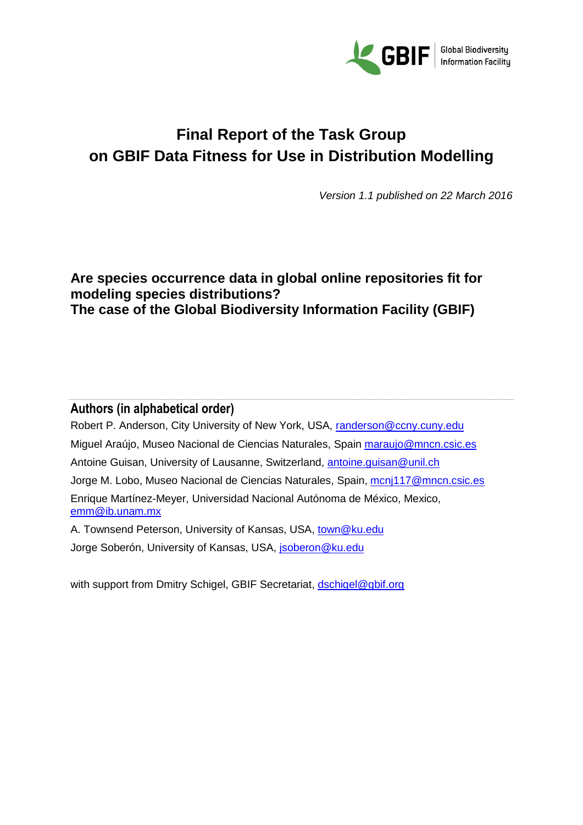

# **Final Report of the Task Group on GBIF Data Fitness for Use in Distribution Modelling**

*Version 1.1 published on 22 March 2016*

# **Are species occurrence data in global online repositories fit for modeling species distributions? The case of the Global Biodiversity Information Facility (GBIF)**

#### **Authors (in alphabetical order)**

Robert P. Anderson, City University of New York, USA, [randerson@ccny.cuny.edu](mailto:randerson@ccny.cuny.edu) Miguel Araújo, Museo Nacional de Ciencias Naturales, Spain [maraujo@mncn.csic.es](mailto:maraujo@mncn.csic.es) Antoine Guisan, University of Lausanne, Switzerland, antoine.quisan@unil.ch Jorge M. Lobo, Museo Nacional de Ciencias Naturales, Spain, [mcnj117@mncn.csic.es](mailto:mcnj117@mncn.csic.es) Enrique Martínez-Meyer, Universidad Nacional Autónoma de México, Mexico, [emm@ib.unam.mx](mailto:emm@ib.unam.mx)

A. Townsend Peterson, University of Kansas, USA, [town@ku.edu](mailto:town@ku.edu) Jorge Soberón, University of Kansas, USA, *jsoberon@ku.edu* 

with support from Dmitry Schigel, GBIF Secretariat, [dschigel@gbif.org](mailto:dschigel@gbif.org)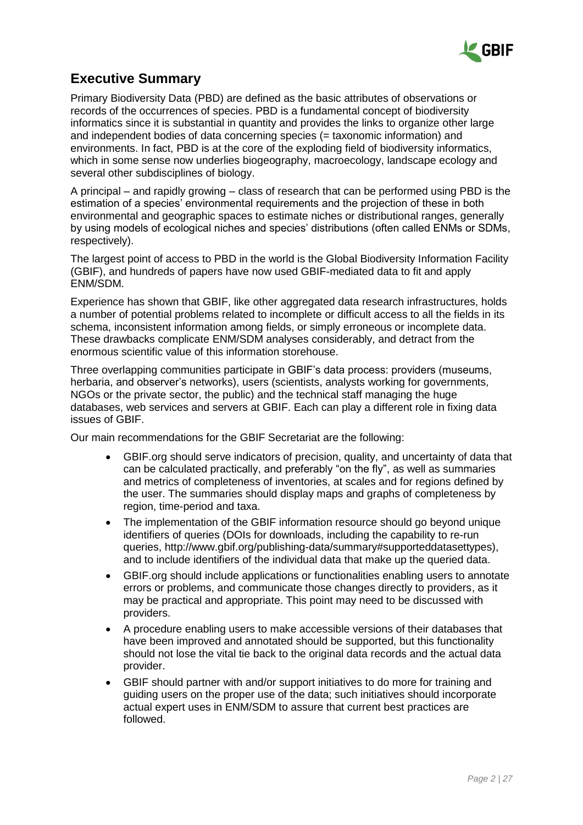

# **Executive Summary**

Primary Biodiversity Data (PBD) are defined as the basic attributes of observations or records of the occurrences of species. PBD is a fundamental concept of biodiversity informatics since it is substantial in quantity and provides the links to organize other large and independent bodies of data concerning species (= taxonomic information) and environments. In fact, PBD is at the core of the exploding field of biodiversity informatics, which in some sense now underlies biogeography, macroecology, landscape ecology and several other subdisciplines of biology.

A principal – and rapidly growing – class of research that can be performed using PBD is the estimation of a species' environmental requirements and the projection of these in both environmental and geographic spaces to estimate niches or distributional ranges, generally by using models of ecological niches and species' distributions (often called ENMs or SDMs, respectively).

The largest point of access to PBD in the world is the Global Biodiversity Information Facility (GBIF), and hundreds of papers have now used GBIF-mediated data to fit and apply ENM/SDM.

Experience has shown that GBIF, like other aggregated data research infrastructures, holds a number of potential problems related to incomplete or difficult access to all the fields in its schema, inconsistent information among fields, or simply erroneous or incomplete data. These drawbacks complicate ENM/SDM analyses considerably, and detract from the enormous scientific value of this information storehouse.

Three overlapping communities participate in GBIF's data process: providers (museums, herbaria, and observer's networks), users (scientists, analysts working for governments, NGOs or the private sector, the public) and the technical staff managing the huge databases, web services and servers at GBIF. Each can play a different role in fixing data issues of GBIF.

Our main recommendations for the GBIF Secretariat are the following:

- GBIF.org should serve indicators of precision, quality, and uncertainty of data that can be calculated practically, and preferably "on the fly", as well as summaries and metrics of completeness of inventories, at scales and for regions defined by the user. The summaries should display maps and graphs of completeness by region, time-period and taxa.
- The implementation of the GBIF information resource should go beyond unique identifiers of queries (DOIs for downloads, including the capability to re-run queries, http://www.gbif.org/publishing-data/summary#supporteddatasettypes), and to include identifiers of the individual data that make up the queried data.
- GBIF.org should include applications or functionalities enabling users to annotate errors or problems, and communicate those changes directly to providers, as it may be practical and appropriate. This point may need to be discussed with providers.
- A procedure enabling users to make accessible versions of their databases that have been improved and annotated should be supported, but this functionality should not lose the vital tie back to the original data records and the actual data provider.
- GBIF should partner with and/or support initiatives to do more for training and guiding users on the proper use of the data; such initiatives should incorporate actual expert uses in ENM/SDM to assure that current best practices are followed.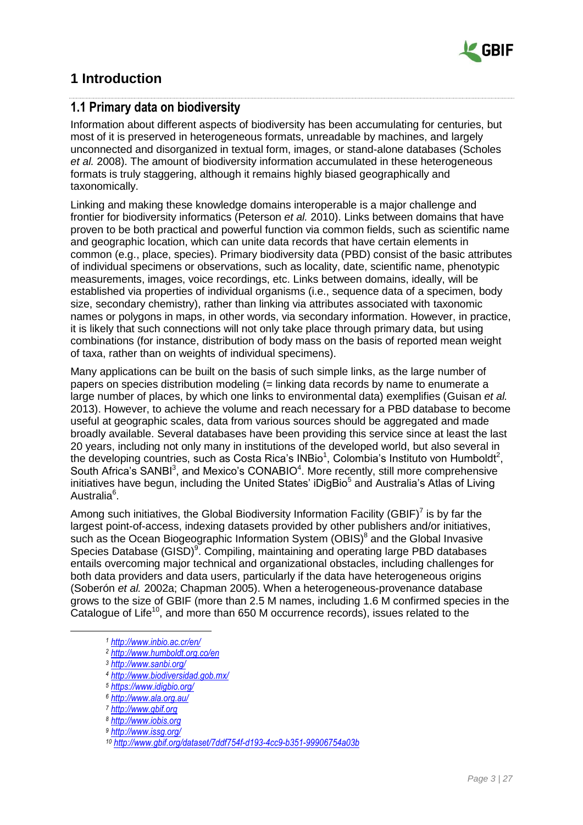

# **1 Introduction**

## **1.1 Primary data on biodiversity**

Information about different aspects of biodiversity has been accumulating for centuries, but most of it is preserved in heterogeneous formats, unreadable by machines, and largely unconnected and disorganized in textual form, images, or stand-alone databases (Scholes *et al.* 2008). The amount of biodiversity information accumulated in these heterogeneous formats is truly staggering, although it remains highly biased geographically and taxonomically.

Linking and making these knowledge domains interoperable is a major challenge and frontier for biodiversity informatics (Peterson *et al.* 2010). Links between domains that have proven to be both practical and powerful function via common fields, such as scientific name and geographic location, which can unite data records that have certain elements in common (e.g., place, species). Primary biodiversity data (PBD) consist of the basic attributes of individual specimens or observations, such as locality, date, scientific name, phenotypic measurements, images, voice recordings, etc. Links between domains, ideally, will be established via properties of individual organisms (i.e., sequence data of a specimen, body size, secondary chemistry), rather than linking via attributes associated with taxonomic names or polygons in maps, in other words, via secondary information. However, in practice, it is likely that such connections will not only take place through primary data, but using combinations (for instance, distribution of body mass on the basis of reported mean weight of taxa, rather than on weights of individual specimens).

Many applications can be built on the basis of such simple links, as the large number of papers on species distribution modeling (= linking data records by name to enumerate a large number of places, by which one links to environmental data) exemplifies (Guisan *et al.* 2013). However, to achieve the volume and reach necessary for a PBD database to become useful at geographic scales, data from various sources should be aggregated and made broadly available. Several databases have been providing this service since at least the last 20 years, including not only many in institutions of the developed world, but also several in the developing countries, such as Costa Rica's INBio<sup>1</sup>, Colombia's Instituto von Humboldt<sup>2</sup>, South Africa's SANBI<sup>3</sup>, and Mexico's CONABIO<sup>4</sup>. More recently, still more comprehensive initiatives have begun, including the United States' iDigBio<sup>5</sup> and Australia's Atlas of Living Australia<sup>6</sup>.

Among such initiatives, the Global Biodiversity Information Facility (GBIF)<sup>7</sup> is by far the largest point-of-access, indexing datasets provided by other publishers and/or initiatives, such as the Ocean Biogeographic Information System (OBIS)<sup>8</sup> and the Global Invasive Species Database (GISD)<sup>9</sup>. Compiling, maintaining and operating large PBD databases entails overcoming major technical and organizational obstacles, including challenges for both data providers and data users, particularly if the data have heterogeneous origins (Soberón *et al.* 2002a; Chapman 2005). When a heterogeneous-provenance database grows to the size of GBIF (more than 2.5 M names, including 1.6 M confirmed species in the Catalogue of Life<sup>10</sup>, and more than 650 M occurrence records), issues related to the

-

*<sup>4</sup> <http://www.biodiversidad.gob.mx/>*

*<sup>6</sup> <http://www.ala.org.au/>*

- *<sup>8</sup> [http://www.iobis.org](http://www.iobis.org/)*
- *<sup>9</sup> <http://www.issg.org/>*

*<sup>1</sup> <http://www.inbio.ac.cr/en/>*

*<sup>2</sup> <http://www.humboldt.org.co/en>*

*<sup>3</sup> <http://www.sanbi.org/>*

*<sup>5</sup> <https://www.idigbio.org/>*

*<sup>7</sup> [http://www.gbif.org](http://www.gbif.org/)*

*<sup>10</sup> <http://www.gbif.org/dataset/7ddf754f-d193-4cc9-b351-99906754a03b>*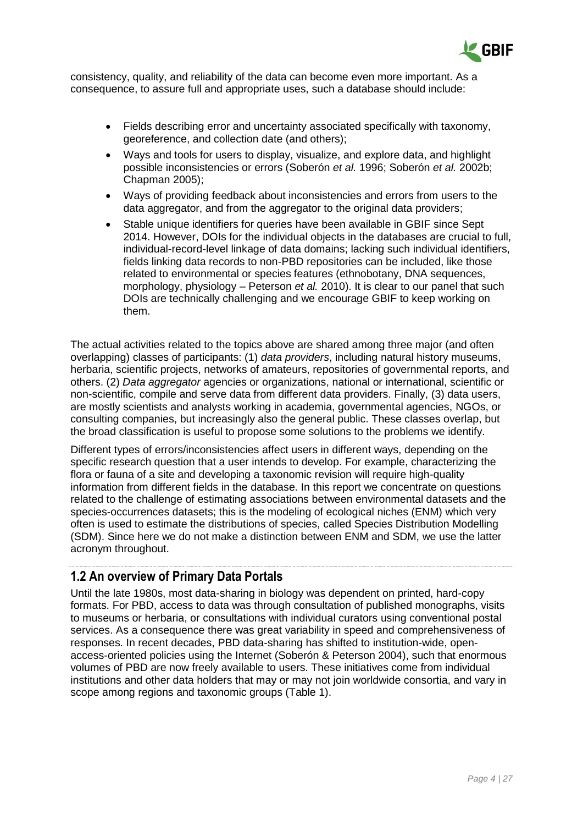

consistency, quality, and reliability of the data can become even more important. As a consequence, to assure full and appropriate uses, such a database should include:

- Fields describing error and uncertainty associated specifically with taxonomy, georeference, and collection date (and others);
- Ways and tools for users to display, visualize, and explore data, and highlight possible inconsistencies or errors (Soberón *et al.* 1996; Soberón *et al.* 2002b; Chapman 2005);
- Ways of providing feedback about inconsistencies and errors from users to the data aggregator, and from the aggregator to the original data providers;
- Stable unique identifiers for queries have been available in GBIF since Sept 2014. However, DOIs for the individual objects in the databases are crucial to full, individual-record-level linkage of data domains; lacking such individual identifiers, fields linking data records to non-PBD repositories can be included, like those related to environmental or species features (ethnobotany, DNA sequences, morphology, physiology – Peterson *et al.* 2010). It is clear to our panel that such DOIs are technically challenging and we encourage GBIF to keep working on them.

The actual activities related to the topics above are shared among three major (and often overlapping) classes of participants: (1) *data providers*, including natural history museums, herbaria, scientific projects, networks of amateurs, repositories of governmental reports, and others. (2) *Data aggregator* agencies or organizations, national or international, scientific or non-scientific, compile and serve data from different data providers. Finally, (3) data users, are mostly scientists and analysts working in academia, governmental agencies, NGOs, or consulting companies, but increasingly also the general public. These classes overlap, but the broad classification is useful to propose some solutions to the problems we identify.

Different types of errors/inconsistencies affect users in different ways, depending on the specific research question that a user intends to develop. For example, characterizing the flora or fauna of a site and developing a taxonomic revision will require high-quality information from different fields in the database. In this report we concentrate on questions related to the challenge of estimating associations between environmental datasets and the species-occurrences datasets; this is the modeling of ecological niches (ENM) which very often is used to estimate the distributions of species, called Species Distribution Modelling (SDM). Since here we do not make a distinction between ENM and SDM, we use the latter acronym throughout.

### **1.2 An overview of Primary Data Portals**

Until the late 1980s, most data-sharing in biology was dependent on printed, hard-copy formats. For PBD, access to data was through consultation of published monographs, visits to museums or herbaria, or consultations with individual curators using conventional postal services. As a consequence there was great variability in speed and comprehensiveness of responses. In recent decades, PBD data-sharing has shifted to institution-wide, openaccess-oriented policies using the Internet (Soberón & Peterson 2004), such that enormous volumes of PBD are now freely available to users. These initiatives come from individual institutions and other data holders that may or may not join worldwide consortia, and vary in scope among regions and taxonomic groups (Table 1).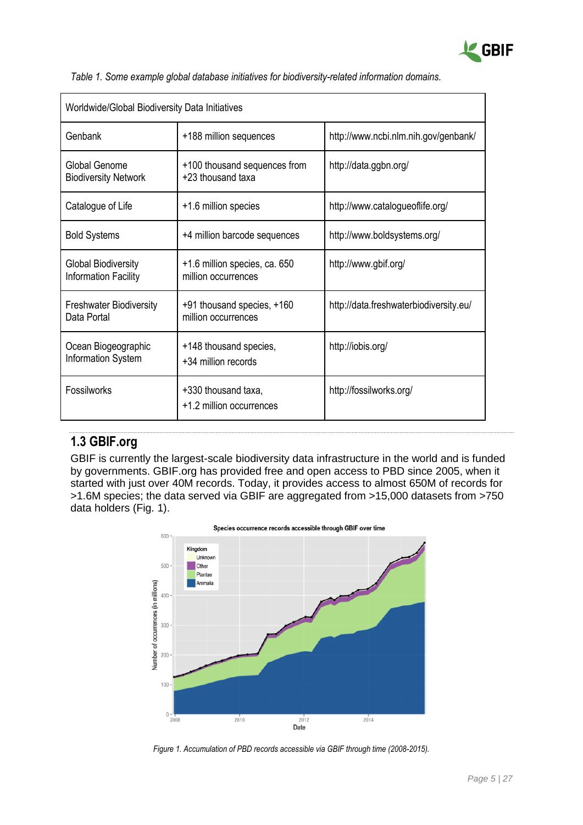

| Worldwide/Global Biodiversity Data Initiatives            |                                                      |                                        |  |
|-----------------------------------------------------------|------------------------------------------------------|----------------------------------------|--|
| Genbank                                                   | +188 million sequences                               | http://www.ncbi.nlm.nih.gov/genbank/   |  |
| Global Genome<br><b>Biodiversity Network</b>              | +100 thousand sequences from<br>+23 thousand taxa    | http://data.ggbn.org/                  |  |
| Catalogue of Life                                         | +1.6 million species                                 | http://www.catalogueoflife.org/        |  |
| <b>Bold Systems</b>                                       | +4 million barcode sequences                         | http://www.boldsystems.org/            |  |
| <b>Global Biodiversity</b><br><b>Information Facility</b> | +1.6 million species, ca. 650<br>million occurrences | http://www.gbif.org/                   |  |
| <b>Freshwater Biodiversity</b><br>Data Portal             | +91 thousand species, +160<br>million occurrences    | http://data.freshwaterbiodiversity.eu/ |  |
| Ocean Biogeographic<br>Information System                 | +148 thousand species,<br>+34 million records        | http://iobis.org/                      |  |
| Fossilworks                                               | +330 thousand taxa,<br>+1.2 million occurrences      | http://fossilworks.org/                |  |

*Table 1. Some example global database initiatives for biodiversity-related information domains.*

## **1.3 GBIF.org**

GBIF is currently the largest-scale biodiversity data infrastructure in the world and is funded by governments. GBIF.org has provided free and open access to PBD since 2005, when it started with just over 40M records. Today, it provides access to almost 650M of records for >1.6M species; the data served via GBIF are aggregated from >15,000 datasets from >750 data holders (Fig. 1).



Species occurrence records accessible through GBIF over time

*Figure 1. Accumulation of PBD records accessible via GBIF through time (2008-2015).*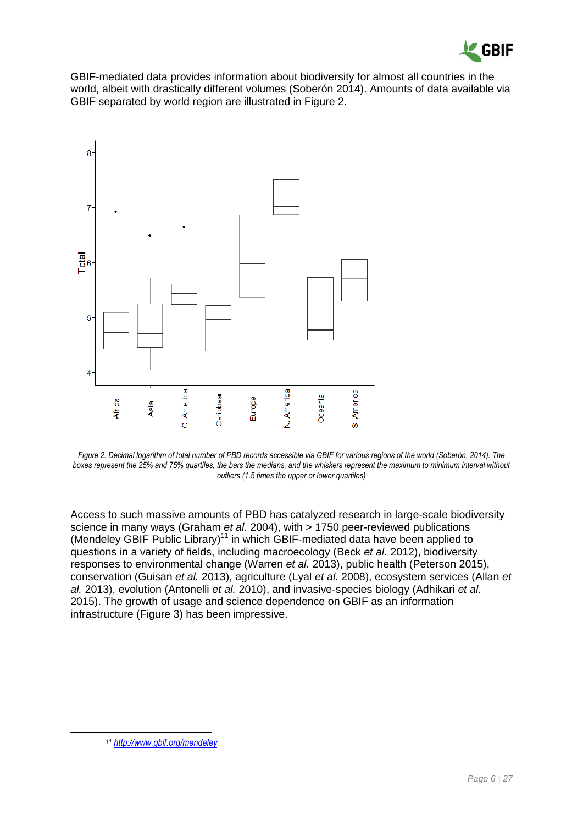

GBIF-mediated data provides information about biodiversity for almost all countries in the world, albeit with drastically different volumes (Soberón 2014). Amounts of data available via GBIF separated by world region are illustrated in Figure 2.



*Figure 2. Decimal logarithm of total number of PBD records accessible via GBIF for various regions of the world (Soberón, 2014). The boxes represent the 25% and 75% quartiles, the bars the medians, and the whiskers represent the maximum to minimum interval without outliers (1.5 times the upper or lower quartiles)*

Access to such massive amounts of PBD has catalyzed research in large-scale biodiversity science in many ways (Graham *et al.* 2004), with > 1750 peer-reviewed publications (Mendeley GBIF Public Library)<sup>11</sup> in which GBIF-mediated data have been applied to questions in a variety of fields, including macroecology (Beck *et al.* 2012), biodiversity responses to environmental change (Warren *et al.* 2013), public health (Peterson 2015), conservation (Guisan *et al.* 2013), agriculture (Lyal *et al.* 2008), ecosystem services (Allan *et al.* 2013), evolution (Antonelli *et al.* 2010), and invasive-species biology (Adhikari *et al.* 2015). The growth of usage and science dependence on GBIF as an information infrastructure (Figure 3) has been impressive.

*<sup>11</sup> <http://www.gbif.org/mendeley>*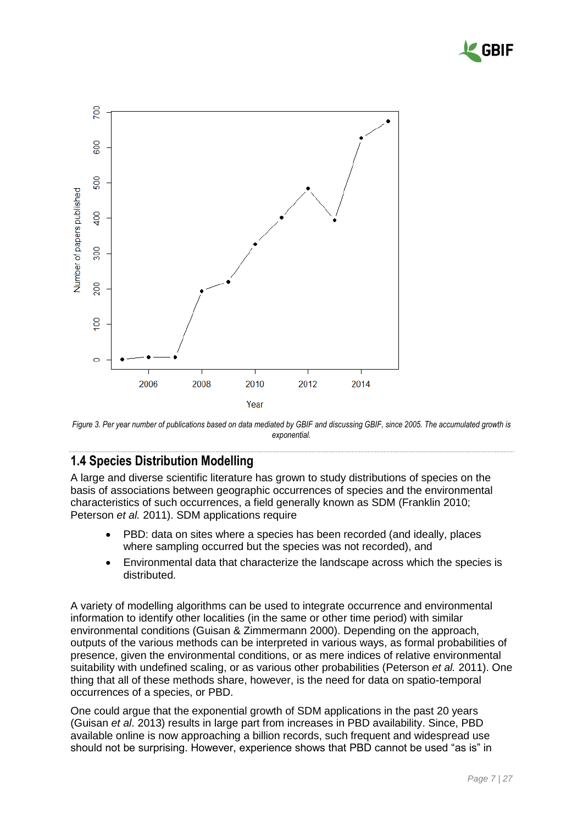



*Figure 3. Per year number of publications based on data mediated by GBIF and discussing GBIF, since 2005. The accumulated growth is exponential.*

## **1.4 Species Distribution Modelling**

A large and diverse scientific literature has grown to study distributions of species on the basis of associations between geographic occurrences of species and the environmental characteristics of such occurrences, a field generally known as SDM (Franklin 2010; Peterson *et al.* 2011). SDM applications require

- PBD: data on sites where a species has been recorded (and ideally, places where sampling occurred but the species was not recorded), and
- Environmental data that characterize the landscape across which the species is distributed.

A variety of modelling algorithms can be used to integrate occurrence and environmental information to identify other localities (in the same or other time period) with similar environmental conditions (Guisan & Zimmermann 2000). Depending on the approach, outputs of the various methods can be interpreted in various ways, as formal probabilities of presence, given the environmental conditions, or as mere indices of relative environmental suitability with undefined scaling, or as various other probabilities (Peterson *et al.* 2011). One thing that all of these methods share, however, is the need for data on spatio-temporal occurrences of a species, or PBD.

One could argue that the exponential growth of SDM applications in the past 20 years (Guisan *et al*. 2013) results in large part from increases in PBD availability. Since, PBD available online is now approaching a billion records, such frequent and widespread use should not be surprising. However, experience shows that PBD cannot be used "as is" in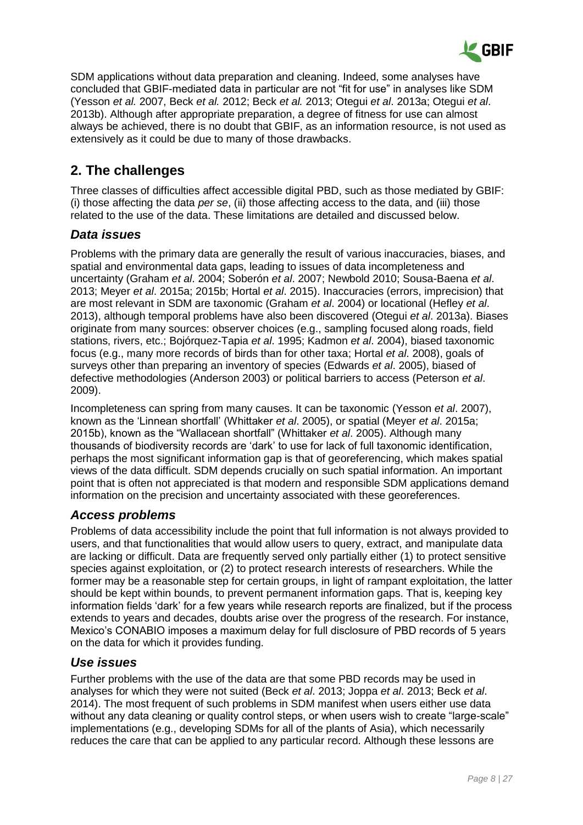

SDM applications without data preparation and cleaning. Indeed, some analyses have concluded that GBIF-mediated data in particular are not "fit for use" in analyses like SDM (Yesson *et al.* 2007, Beck *et al.* 2012; Beck *et al.* 2013; Otegui *et al*. 2013a; Otegui *et al*. 2013b). Although after appropriate preparation, a degree of fitness for use can almost always be achieved, there is no doubt that GBIF, as an information resource, is not used as extensively as it could be due to many of those drawbacks.

# **2. The challenges**

Three classes of difficulties affect accessible digital PBD, such as those mediated by GBIF: (i) those affecting the data *per se*, (ii) those affecting access to the data, and (iii) those related to the use of the data. These limitations are detailed and discussed below.

#### *Data issues*

Problems with the primary data are generally the result of various inaccuracies, biases, and spatial and environmental data gaps, leading to issues of data incompleteness and uncertainty (Graham *et al*. 2004; Soberón *et al*. 2007; Newbold 2010; Sousa-Baena *et al*. 2013; Meyer *et al*. 2015a; 2015b; Hortal *et al*. 2015). Inaccuracies (errors, imprecision) that are most relevant in SDM are taxonomic (Graham *et al*. 2004) or locational (Hefley *et al*. 2013), although temporal problems have also been discovered (Otegui *et al*. 2013a). Biases originate from many sources: observer choices (e.g., sampling focused along roads, field stations, rivers, etc.; Bojórquez-Tapia *et al*. 1995; Kadmon *et al*. 2004), biased taxonomic focus (e.g., many more records of birds than for other taxa; Hortal *et al*. 2008), goals of surveys other than preparing an inventory of species (Edwards *et al*. 2005), biased of defective methodologies (Anderson 2003) or political barriers to access (Peterson *et al*. 2009).

Incompleteness can spring from many causes. It can be taxonomic (Yesson *et al*. 2007), known as the 'Linnean shortfall' (Whittaker *et al*. 2005), or spatial (Meyer *et al*. 2015a; 2015b), known as the "Wallacean shortfall" (Whittaker *et al*. 2005). Although many thousands of biodiversity records are 'dark' to use for lack of full taxonomic identification, perhaps the most significant information gap is that of georeferencing, which makes spatial views of the data difficult. SDM depends crucially on such spatial information. An important point that is often not appreciated is that modern and responsible SDM applications demand information on the precision and uncertainty associated with these georeferences.

### *Access problems*

Problems of data accessibility include the point that full information is not always provided to users, and that functionalities that would allow users to query, extract, and manipulate data are lacking or difficult. Data are frequently served only partially either (1) to protect sensitive species against exploitation, or (2) to protect research interests of researchers. While the former may be a reasonable step for certain groups, in light of rampant exploitation, the latter should be kept within bounds, to prevent permanent information gaps. That is, keeping key information fields 'dark' for a few years while research reports are finalized, but if the process extends to years and decades, doubts arise over the progress of the research. For instance, Mexico's CONABIO imposes a maximum delay for full disclosure of PBD records of 5 years on the data for which it provides funding.

#### *Use issues*

Further problems with the use of the data are that some PBD records may be used in analyses for which they were not suited (Beck *et al*. 2013; Joppa *et al*. 2013; Beck *et al*. 2014). The most frequent of such problems in SDM manifest when users either use data without any data cleaning or quality control steps, or when users wish to create "large-scale" implementations (e.g., developing SDMs for all of the plants of Asia), which necessarily reduces the care that can be applied to any particular record. Although these lessons are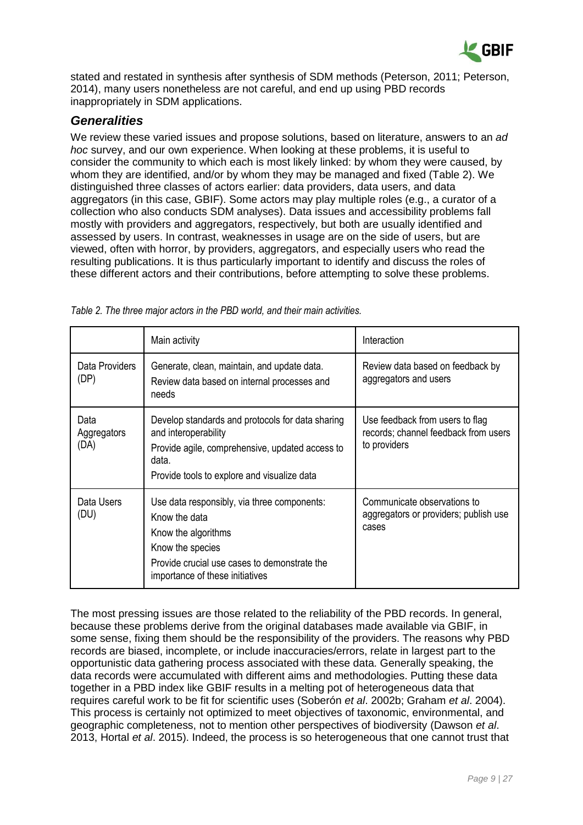

stated and restated in synthesis after synthesis of SDM methods (Peterson, 2011; Peterson, 2014), many users nonetheless are not careful, and end up using PBD records inappropriately in SDM applications.

#### *Generalities*

We review these varied issues and propose solutions, based on literature, answers to an *ad hoc* survey, and our own experience. When looking at these problems, it is useful to consider the community to which each is most likely linked: by whom they were caused, by whom they are identified, and/or by whom they may be managed and fixed (Table 2). We distinguished three classes of actors earlier: data providers, data users, and data aggregators (in this case, GBIF). Some actors may play multiple roles (e.g., a curator of a collection who also conducts SDM analyses). Data issues and accessibility problems fall mostly with providers and aggregators, respectively, but both are usually identified and assessed by users. In contrast, weaknesses in usage are on the side of users, but are viewed, often with horror, by providers, aggregators, and especially users who read the resulting publications. It is thus particularly important to identify and discuss the roles of these different actors and their contributions, before attempting to solve these problems.

|                             | Main activity                                                                                                                                                                              | Interaction                                                                             |
|-----------------------------|--------------------------------------------------------------------------------------------------------------------------------------------------------------------------------------------|-----------------------------------------------------------------------------------------|
| Data Providers<br>(DP)      | Generate, clean, maintain, and update data.<br>Review data based on internal processes and<br>needs                                                                                        | Review data based on feedback by<br>aggregators and users                               |
| Data<br>Aggregators<br>(DA) | Develop standards and protocols for data sharing<br>and interoperability<br>Provide agile, comprehensive, updated access to<br>data.<br>Provide tools to explore and visualize data        | Use feedback from users to flag<br>records; channel feedback from users<br>to providers |
| Data Users<br>(DU)          | Use data responsibly, via three components:<br>Know the data<br>Know the algorithms<br>Know the species<br>Provide crucial use cases to demonstrate the<br>importance of these initiatives | Communicate observations to<br>aggregators or providers; publish use<br>cases           |

*Table 2. The three major actors in the PBD world, and their main activities.*

The most pressing issues are those related to the reliability of the PBD records. In general, because these problems derive from the original databases made available via GBIF, in some sense, fixing them should be the responsibility of the providers. The reasons why PBD records are biased, incomplete, or include inaccuracies/errors, relate in largest part to the opportunistic data gathering process associated with these data. Generally speaking, the data records were accumulated with different aims and methodologies. Putting these data together in a PBD index like GBIF results in a melting pot of heterogeneous data that requires careful work to be fit for scientific uses (Soberón *et al*. 2002b; Graham *et al*. 2004). This process is certainly not optimized to meet objectives of taxonomic, environmental, and geographic completeness, not to mention other perspectives of biodiversity (Dawson *et al*. 2013, Hortal *et al*. 2015). Indeed, the process is so heterogeneous that one cannot trust that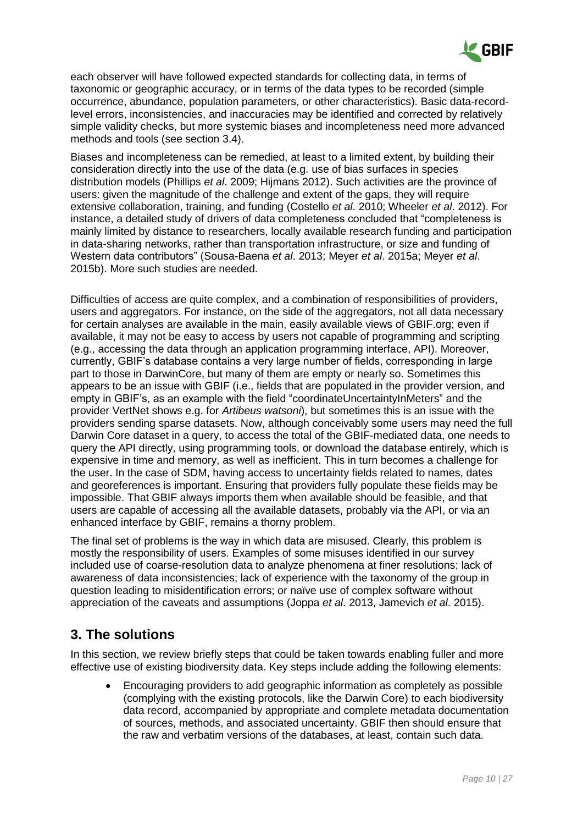

each observer will have followed expected standards for collecting data, in terms of taxonomic or geographic accuracy, or in terms of the data types to be recorded (simple occurrence, abundance, population parameters, or other characteristics). Basic data-recordlevel errors, inconsistencies, and inaccuracies may be identified and corrected by relatively simple validity checks, but more systemic biases and incompleteness need more advanced methods and tools (see section 3.4).

Biases and incompleteness can be remedied, at least to a limited extent, by building their consideration directly into the use of the data (e.g. use of bias surfaces in species distribution models (Phillips *et al*. 2009; Hijmans 2012). Such activities are the province of users: given the magnitude of the challenge and extent of the gaps, they will require extensive collaboration, training, and funding (Costello *et al*. 2010; Wheeler *et al*. 2012). For instance, a detailed study of drivers of data completeness concluded that "completeness is mainly limited by distance to researchers, locally available research funding and participation in data-sharing networks, rather than transportation infrastructure, or size and funding of Western data contributors" (Sousa-Baena *et al*. 2013; Meyer *et al*. 2015a; Meyer *et al*. 2015b). More such studies are needed.

Difficulties of access are quite complex, and a combination of responsibilities of providers, users and aggregators. For instance, on the side of the aggregators, not all data necessary for certain analyses are available in the main, easily available views of GBIF.org; even if available, it may not be easy to access by users not capable of programming and scripting (e.g., accessing the data through an application programming interface, API). Moreover, currently, GBIF's database contains a very large number of fields, corresponding in large part to those in DarwinCore, but many of them are empty or nearly so. Sometimes this appears to be an issue with GBIF (i.e., fields that are populated in the provider version, and empty in GBIF's, as an example with the field "coordinateUncertaintyInMeters" and the provider VertNet shows e.g. for *Artibeus watsoni*), but sometimes this is an issue with the providers sending sparse datasets. Now, although conceivably some users may need the full Darwin Core dataset in a query, to access the total of the GBIF-mediated data, one needs to query the API directly, using programming tools, or download the database entirely, which is expensive in time and memory, as well as inefficient. This in turn becomes a challenge for the user. In the case of SDM, having access to uncertainty fields related to names, dates and georeferences is important. Ensuring that providers fully populate these fields may be impossible. That GBIF always imports them when available should be feasible, and that users are capable of accessing all the available datasets, probably via the API, or via an enhanced interface by GBIF, remains a thorny problem.

The final set of problems is the way in which data are misused. Clearly, this problem is mostly the responsibility of users. Examples of some misuses identified in our survey included use of coarse-resolution data to analyze phenomena at finer resolutions; lack of awareness of data inconsistencies; lack of experience with the taxonomy of the group in question leading to misidentification errors; or naïve use of complex software without appreciation of the caveats and assumptions (Joppa *et al*. 2013, Jamevich *et al*. 2015).

## **3. The solutions**

In this section, we review briefly steps that could be taken towards enabling fuller and more effective use of existing biodiversity data. Key steps include adding the following elements:

 Encouraging providers to add geographic information as completely as possible (complying with the existing protocols, like the Darwin Core) to each biodiversity data record, accompanied by appropriate and complete metadata documentation of sources, methods, and associated uncertainty. GBIF then should ensure that the raw and verbatim versions of the databases, at least, contain such data.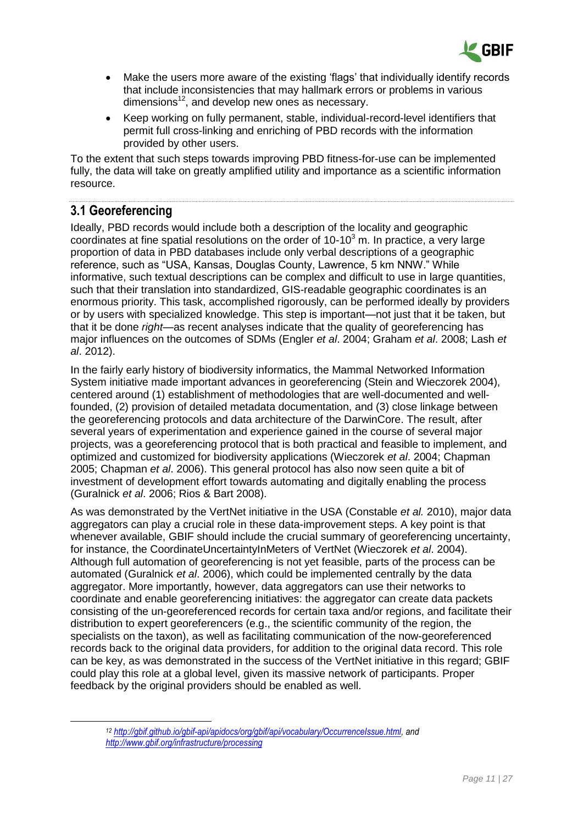

- Make the users more aware of the existing 'flags' that individually identify records that include inconsistencies that may hallmark errors or problems in various dimensions<sup>12</sup>, and develop new ones as necessary.
- Keep working on fully permanent, stable, individual-record-level identifiers that permit full cross-linking and enriching of PBD records with the information provided by other users.

To the extent that such steps towards improving PBD fitness-for-use can be implemented fully, the data will take on greatly amplified utility and importance as a scientific information resource.

## **3.1 Georeferencing**

-

Ideally, PBD records would include both a description of the locality and geographic coordinates at fine spatial resolutions on the order of  $10-10<sup>3</sup>$  m. In practice, a very large proportion of data in PBD databases include only verbal descriptions of a geographic reference, such as "USA, Kansas, Douglas County, Lawrence, 5 km NNW." While informative, such textual descriptions can be complex and difficult to use in large quantities, such that their translation into standardized, GIS-readable geographic coordinates is an enormous priority. This task, accomplished rigorously, can be performed ideally by providers or by users with specialized knowledge. This step is important—not just that it be taken, but that it be done *right*—as recent analyses indicate that the quality of georeferencing has major influences on the outcomes of SDMs (Engler *et al*. 2004; Graham *et al*. 2008; Lash *et al*. 2012).

In the fairly early history of biodiversity informatics, the Mammal Networked Information System initiative made important advances in georeferencing (Stein and Wieczorek 2004), centered around (1) establishment of methodologies that are well-documented and wellfounded, (2) provision of detailed metadata documentation, and (3) close linkage between the georeferencing protocols and data architecture of the DarwinCore. The result, after several years of experimentation and experience gained in the course of several major projects, was a georeferencing protocol that is both practical and feasible to implement, and optimized and customized for biodiversity applications (Wieczorek *et al*. 2004; Chapman 2005; Chapman *et al*. 2006). This general protocol has also now seen quite a bit of investment of development effort towards automating and digitally enabling the process (Guralnick *et al*. 2006; Rios & Bart 2008).

As was demonstrated by the VertNet initiative in the USA (Constable *et al.* 2010), major data aggregators can play a crucial role in these data-improvement steps. A key point is that whenever available, GBIF should include the crucial summary of georeferencing uncertainty, for instance, the CoordinateUncertaintyInMeters of VertNet (Wieczorek *et al*. 2004). Although full automation of georeferencing is not yet feasible, parts of the process can be automated (Guralnick *et al*. 2006), which could be implemented centrally by the data aggregator. More importantly, however, data aggregators can use their networks to coordinate and enable georeferencing initiatives: the aggregator can create data packets consisting of the un-georeferenced records for certain taxa and/or regions, and facilitate their distribution to expert georeferencers (e.g., the scientific community of the region, the specialists on the taxon), as well as facilitating communication of the now-georeferenced records back to the original data providers, for addition to the original data record. This role can be key, as was demonstrated in the success of the VertNet initiative in this regard; GBIF could play this role at a global level, given its massive network of participants. Proper feedback by the original providers should be enabled as well.

*<sup>12</sup> [http://gbif.github.io/gbif-api/apidocs/org/gbif/api/vocabulary/OccurrenceIssue.html,](http://gbif.github.io/gbif-api/apidocs/org/gbif/api/vocabulary/OccurrenceIssue.html) and <http://www.gbif.org/infrastructure/processing>*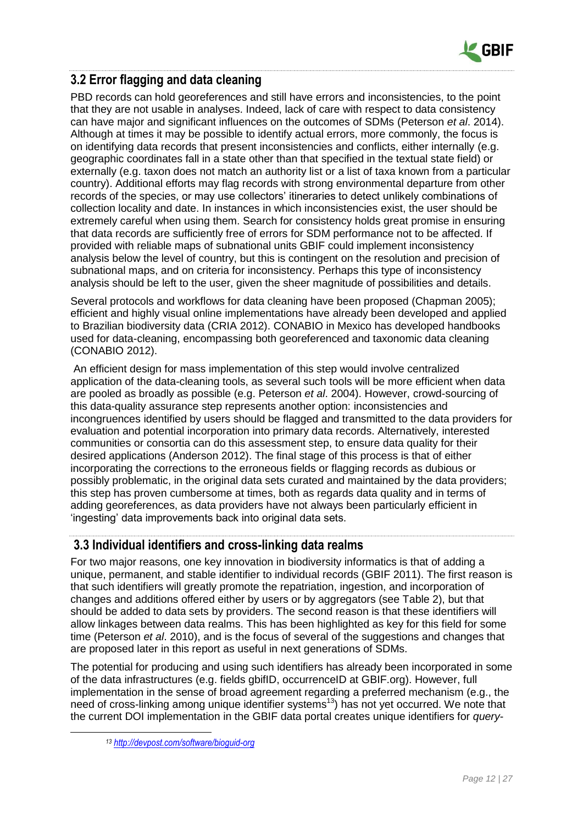

## **3.2 Error flagging and data cleaning**

PBD records can hold georeferences and still have errors and inconsistencies, to the point that they are not usable in analyses. Indeed, lack of care with respect to data consistency can have major and significant influences on the outcomes of SDMs (Peterson *et al*. 2014). Although at times it may be possible to identify actual errors, more commonly, the focus is on identifying data records that present inconsistencies and conflicts, either internally (e.g. geographic coordinates fall in a state other than that specified in the textual state field) or externally (e.g. taxon does not match an authority list or a list of taxa known from a particular country). Additional efforts may flag records with strong environmental departure from other records of the species, or may use collectors' itineraries to detect unlikely combinations of collection locality and date. In instances in which inconsistencies exist, the user should be extremely careful when using them. Search for consistency holds great promise in ensuring that data records are sufficiently free of errors for SDM performance not to be affected. If provided with reliable maps of subnational units GBIF could implement inconsistency analysis below the level of country, but this is contingent on the resolution and precision of subnational maps, and on criteria for inconsistency. Perhaps this type of inconsistency analysis should be left to the user, given the sheer magnitude of possibilities and details.

Several protocols and workflows for data cleaning have been proposed (Chapman 2005); efficient and highly visual online implementations have already been developed and applied to Brazilian biodiversity data (CRIA 2012). CONABIO in Mexico has developed handbooks used for data-cleaning, encompassing both georeferenced and taxonomic data cleaning (CONABIO 2012).

An efficient design for mass implementation of this step would involve centralized application of the data-cleaning tools, as several such tools will be more efficient when data are pooled as broadly as possible (e.g. Peterson *et al*. 2004). However, crowd-sourcing of this data-quality assurance step represents another option: inconsistencies and incongruences identified by users should be flagged and transmitted to the data providers for evaluation and potential incorporation into primary data records. Alternatively, interested communities or consortia can do this assessment step, to ensure data quality for their desired applications (Anderson 2012). The final stage of this process is that of either incorporating the corrections to the erroneous fields or flagging records as dubious or possibly problematic, in the original data sets curated and maintained by the data providers; this step has proven cumbersome at times, both as regards data quality and in terms of adding georeferences, as data providers have not always been particularly efficient in 'ingesting' data improvements back into original data sets.

### **3.3 Individual identifiers and cross-linking data realms**

For two major reasons, one key innovation in biodiversity informatics is that of adding a unique, permanent, and stable identifier to individual records (GBIF 2011). The first reason is that such identifiers will greatly promote the repatriation, ingestion, and incorporation of changes and additions offered either by users or by aggregators (see Table 2), but that should be added to data sets by providers. The second reason is that these identifiers will allow linkages between data realms. This has been highlighted as key for this field for some time (Peterson *et al*. 2010), and is the focus of several of the suggestions and changes that are proposed later in this report as useful in next generations of SDMs.

The potential for producing and using such identifiers has already been incorporated in some of the data infrastructures (e.g. fields gbifID, occurrenceID at GBIF.org). However, full implementation in the sense of broad agreement regarding a preferred mechanism (e.g., the need of cross-linking among unique identifier systems<sup>13</sup>) has not yet occurred. We note that the current DOI implementation in the GBIF data portal creates unique identifiers for *query*-

*<sup>13</sup> <http://devpost.com/software/bioguid-org>*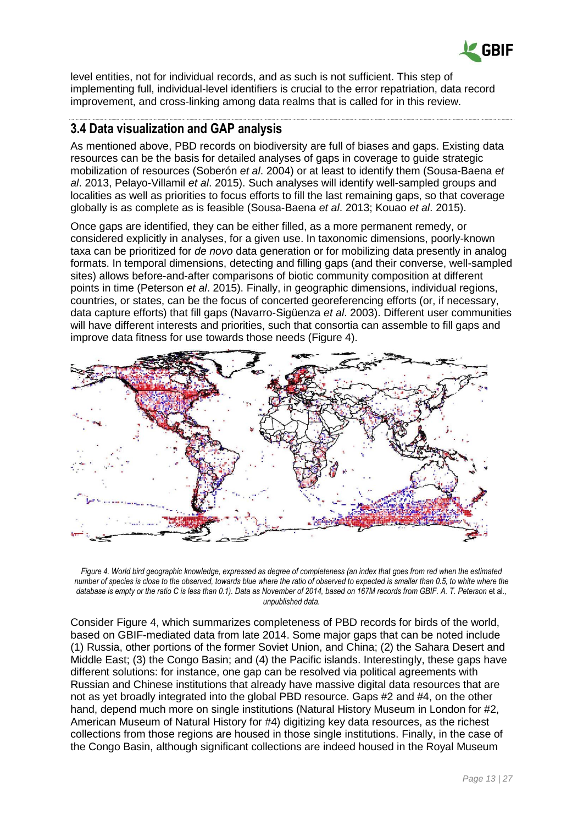

level entities, not for individual records, and as such is not sufficient. This step of implementing full, individual-level identifiers is crucial to the error repatriation, data record improvement, and cross-linking among data realms that is called for in this review.

## **3.4 Data visualization and GAP analysis**

As mentioned above, PBD records on biodiversity are full of biases and gaps. Existing data resources can be the basis for detailed analyses of gaps in coverage to guide strategic mobilization of resources (Soberón *et al*. 2004) or at least to identify them (Sousa-Baena *et al*. 2013, Pelayo-Villamil *et al*. 2015). Such analyses will identify well-sampled groups and localities as well as priorities to focus efforts to fill the last remaining gaps, so that coverage globally is as complete as is feasible (Sousa-Baena *et al*. 2013; Kouao *et al*. 2015).

Once gaps are identified, they can be either filled, as a more permanent remedy, or considered explicitly in analyses, for a given use. In taxonomic dimensions, poorly-known taxa can be prioritized for *de novo* data generation or for mobilizing data presently in analog formats. In temporal dimensions, detecting and filling gaps (and their converse, well-sampled sites) allows before-and-after comparisons of biotic community composition at different points in time (Peterson *et al*. 2015). Finally, in geographic dimensions, individual regions, countries, or states, can be the focus of concerted georeferencing efforts (or, if necessary, data capture efforts) that fill gaps (Navarro-Sigüenza *et al*. 2003). Different user communities will have different interests and priorities, such that consortia can assemble to fill gaps and improve data fitness for use towards those needs (Figure 4).



*Figure 4. World bird geographic knowledge, expressed as degree of completeness (an index that goes from red when the estimated number of species is close to the observed, towards blue where the ratio of observed to expected is smaller than 0.5, to white where the database is empty or the ratio C is less than 0.1). Data as November of 2014, based on 167M records from GBIF. A. T. Peterson* et al*., unpublished data.* 

Consider Figure 4, which summarizes completeness of PBD records for birds of the world, based on GBIF-mediated data from late 2014. Some major gaps that can be noted include (1) Russia, other portions of the former Soviet Union, and China; (2) the Sahara Desert and Middle East; (3) the Congo Basin; and (4) the Pacific islands. Interestingly, these gaps have different solutions: for instance, one gap can be resolved via political agreements with Russian and Chinese institutions that already have massive digital data resources that are not as yet broadly integrated into the global PBD resource. Gaps #2 and #4, on the other hand, depend much more on single institutions (Natural History Museum in London for #2, American Museum of Natural History for #4) digitizing key data resources, as the richest collections from those regions are housed in those single institutions. Finally, in the case of the Congo Basin, although significant collections are indeed housed in the Royal Museum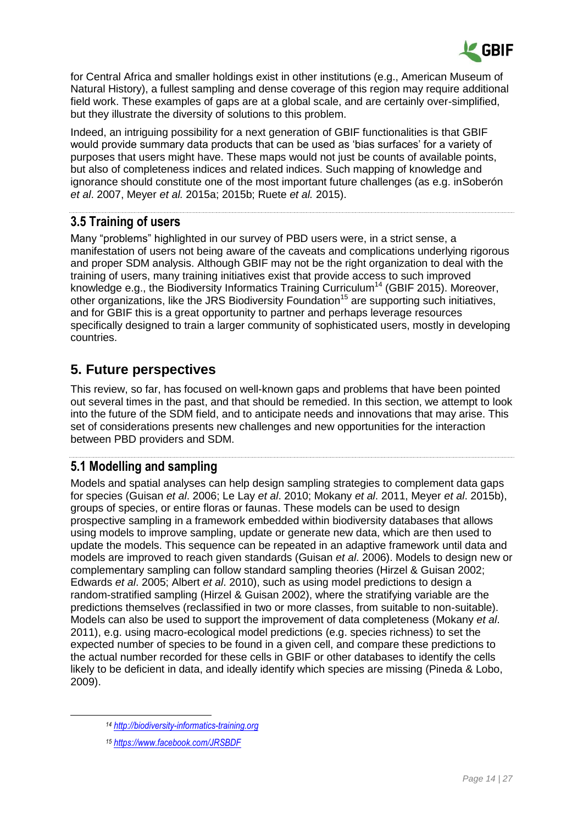

for Central Africa and smaller holdings exist in other institutions (e.g., American Museum of Natural History), a fullest sampling and dense coverage of this region may require additional field work. These examples of gaps are at a global scale, and are certainly over-simplified, but they illustrate the diversity of solutions to this problem.

Indeed, an intriguing possibility for a next generation of GBIF functionalities is that GBIF would provide summary data products that can be used as 'bias surfaces' for a variety of purposes that users might have. These maps would not just be counts of available points, but also of completeness indices and related indices. Such mapping of knowledge and ignorance should constitute one of the most important future challenges (as e.g. inSoberón *et al*. 2007, Meyer *et al.* 2015a; 2015b; Ruete *et al.* 2015).

## **3.5 Training of users**

Many "problems" highlighted in our survey of PBD users were, in a strict sense, a manifestation of users not being aware of the caveats and complications underlying rigorous and proper SDM analysis. Although GBIF may not be the right organization to deal with the training of users, many training initiatives exist that provide access to such improved knowledge e.g., the Biodiversity Informatics Training Curriculum<sup>14</sup> (GBIF 2015). Moreover, other organizations, like the JRS Biodiversity Foundation<sup>15</sup> are supporting such initiatives, and for GBIF this is a great opportunity to partner and perhaps leverage resources specifically designed to train a larger community of sophisticated users, mostly in developing countries.

# **5. Future perspectives**

This review, so far, has focused on well-known gaps and problems that have been pointed out several times in the past, and that should be remedied. In this section, we attempt to look into the future of the SDM field, and to anticipate needs and innovations that may arise. This set of considerations presents new challenges and new opportunities for the interaction between PBD providers and SDM.

## **5.1 Modelling and sampling**

Models and spatial analyses can help design sampling strategies to complement data gaps for species (Guisan *et al*. 2006; Le Lay *et al*. 2010; Mokany *et al*. 2011, Meyer *et al*. 2015b), groups of species, or entire floras or faunas. These models can be used to design prospective sampling in a framework embedded within biodiversity databases that allows using models to improve sampling, update or generate new data, which are then used to update the models. This sequence can be repeated in an adaptive framework until data and models are improved to reach given standards (Guisan *et al*. 2006). Models to design new or complementary sampling can follow standard sampling theories (Hirzel & Guisan 2002; Edwards *et al*. 2005; Albert *et al*. 2010), such as using model predictions to design a random-stratified sampling (Hirzel & Guisan 2002), where the stratifying variable are the predictions themselves (reclassified in two or more classes, from suitable to non-suitable). Models can also be used to support the improvement of data completeness (Mokany *et al*. 2011), e.g. using macro-ecological model predictions (e.g. species richness) to set the expected number of species to be found in a given cell, and compare these predictions to the actual number recorded for these cells in GBIF or other databases to identify the cells likely to be deficient in data, and ideally identify which species are missing (Pineda & Lobo, 2009).

*<sup>14</sup> [http://biodiversity-informatics-training.org](http://biodiversity-informatics-training.org/)*

*<sup>15</sup> <https://www.facebook.com/JRSBDF>*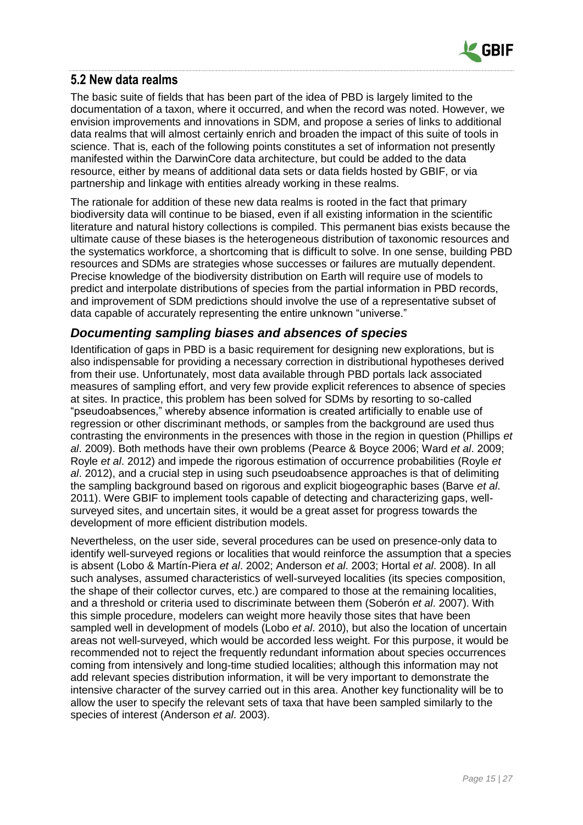

#### **5.2 New data realms**

The basic suite of fields that has been part of the idea of PBD is largely limited to the documentation of a taxon, where it occurred, and when the record was noted. However, we envision improvements and innovations in SDM, and propose a series of links to additional data realms that will almost certainly enrich and broaden the impact of this suite of tools in science. That is, each of the following points constitutes a set of information not presently manifested within the DarwinCore data architecture, but could be added to the data resource, either by means of additional data sets or data fields hosted by GBIF, or via partnership and linkage with entities already working in these realms.

The rationale for addition of these new data realms is rooted in the fact that primary biodiversity data will continue to be biased, even if all existing information in the scientific literature and natural history collections is compiled. This permanent bias exists because the ultimate cause of these biases is the heterogeneous distribution of taxonomic resources and the systematics workforce, a shortcoming that is difficult to solve. In one sense, building PBD resources and SDMs are strategies whose successes or failures are mutually dependent. Precise knowledge of the biodiversity distribution on Earth will require use of models to predict and interpolate distributions of species from the partial information in PBD records, and improvement of SDM predictions should involve the use of a representative subset of data capable of accurately representing the entire unknown "universe."

#### *Documenting sampling biases and absences of species*

Identification of gaps in PBD is a basic requirement for designing new explorations, but is also indispensable for providing a necessary correction in distributional hypotheses derived from their use. Unfortunately, most data available through PBD portals lack associated measures of sampling effort, and very few provide explicit references to absence of species at sites. In practice, this problem has been solved for SDMs by resorting to so-called "pseudoabsences," whereby absence information is created artificially to enable use of regression or other discriminant methods, or samples from the background are used thus contrasting the environments in the presences with those in the region in question (Phillips *et al*. 2009). Both methods have their own problems (Pearce & Boyce 2006; Ward *et al*. 2009; Royle *et al*. 2012) and impede the rigorous estimation of occurrence probabilities (Royle *et al*. 2012), and a crucial step in using such pseudoabsence approaches is that of delimiting the sampling background based on rigorous and explicit biogeographic bases (Barve *et al*. 2011). Were GBIF to implement tools capable of detecting and characterizing gaps, wellsurveyed sites, and uncertain sites, it would be a great asset for progress towards the development of more efficient distribution models.

Nevertheless, on the user side, several procedures can be used on presence-only data to identify well-surveyed regions or localities that would reinforce the assumption that a species is absent (Lobo & Martín-Piera *et al*. 2002; Anderson *et al*. 2003; Hortal *et al*. 2008). In all such analyses, assumed characteristics of well-surveyed localities (its species composition, the shape of their collector curves, etc.) are compared to those at the remaining localities, and a threshold or criteria used to discriminate between them (Soberón *et al*. 2007). With this simple procedure, modelers can weight more heavily those sites that have been sampled well in development of models (Lobo *et al*. 2010), but also the location of uncertain areas not well-surveyed, which would be accorded less weight. For this purpose, it would be recommended not to reject the frequently redundant information about species occurrences coming from intensively and long-time studied localities; although this information may not add relevant species distribution information, it will be very important to demonstrate the intensive character of the survey carried out in this area. Another key functionality will be to allow the user to specify the relevant sets of taxa that have been sampled similarly to the species of interest (Anderson *et al*. 2003).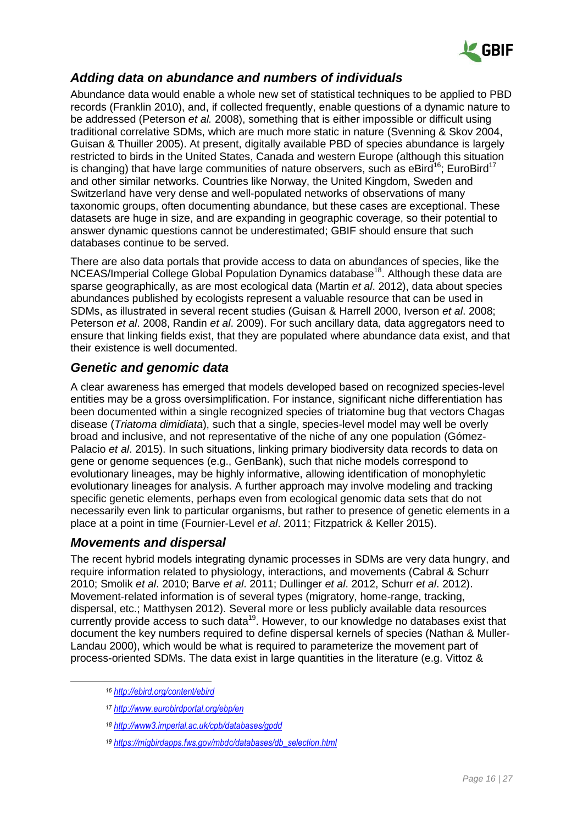

## *Adding data on abundance and numbers of individuals*

Abundance data would enable a whole new set of statistical techniques to be applied to PBD records (Franklin 2010), and, if collected frequently, enable questions of a dynamic nature to be addressed (Peterson *et al.* 2008), something that is either impossible or difficult using traditional correlative SDMs, which are much more static in nature (Svenning & Skov 2004, Guisan & Thuiller 2005). At present, digitally available PBD of species abundance is largely restricted to birds in the United States, Canada and western Europe (although this situation is changing) that have large communities of nature observers, such as  $eBird^{16}$ ; EuroBird<sup>17</sup> and other similar networks. Countries like Norway, the United Kingdom, Sweden and Switzerland have very dense and well-populated networks of observations of many taxonomic groups, often documenting abundance, but these cases are exceptional. These datasets are huge in size, and are expanding in geographic coverage, so their potential to answer dynamic questions cannot be underestimated; GBIF should ensure that such databases continue to be served.

There are also data portals that provide access to data on abundances of species, like the NCEAS/Imperial College Global Population Dynamics database<sup>18</sup>. Although these data are sparse geographically, as are most ecological data (Martin *et al*. 2012), data about species abundances published by ecologists represent a valuable resource that can be used in SDMs, as illustrated in several recent studies (Guisan & Harrell 2000, Iverson *et al*. 2008; Peterson *et al*. 2008, Randin *et al*. 2009). For such ancillary data, data aggregators need to ensure that linking fields exist, that they are populated where abundance data exist, and that their existence is well documented.

#### *Genetic and genomic data*

A clear awareness has emerged that models developed based on recognized species-level entities may be a gross oversimplification. For instance, significant niche differentiation has been documented within a single recognized species of triatomine bug that vectors Chagas disease (*Triatoma dimidiata*), such that a single, species-level model may well be overly broad and inclusive, and not representative of the niche of any one population (Gómez-Palacio *et al*. 2015). In such situations, linking primary biodiversity data records to data on gene or genome sequences (e.g., GenBank), such that niche models correspond to evolutionary lineages, may be highly informative, allowing identification of monophyletic evolutionary lineages for analysis. A further approach may involve modeling and tracking specific genetic elements, perhaps even from ecological genomic data sets that do not necessarily even link to particular organisms, but rather to presence of genetic elements in a place at a point in time (Fournier-Level *et al*. 2011; Fitzpatrick & Keller 2015).

#### *Movements and dispersal*

The recent hybrid models integrating dynamic processes in SDMs are very data hungry, and require information related to physiology, interactions, and movements (Cabral & Schurr 2010; Smolik *et al*. 2010; Barve *et al*. 2011; Dullinger *et al*. 2012, Schurr *et al*. 2012). Movement-related information is of several types (migratory, home-range, tracking, dispersal, etc.; Matthysen 2012). Several more or less publicly available data resources currently provide access to such data<sup>19</sup>. However, to our knowledge no databases exist that document the key numbers required to define dispersal kernels of species (Nathan & Muller-Landau 2000), which would be what is required to parameterize the movement part of process-oriented SDMs. The data exist in large quantities in the literature (e.g. Vittoz &

*<sup>16</sup> <http://ebird.org/content/ebird>*

*<sup>17</sup> <http://www.eurobirdportal.org/ebp/en>*

*<sup>18</sup> <http://www3.imperial.ac.uk/cpb/databases/gpdd>*

*<sup>19</sup> [https://migbirdapps.fws.gov/mbdc/databases/db\\_selection.html](https://migbirdapps.fws.gov/mbdc/databases/db_selection.html)*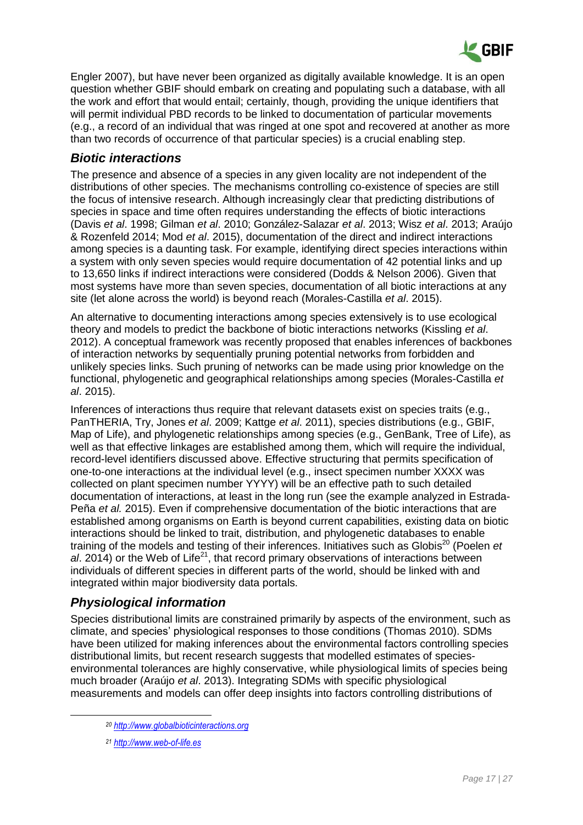

Engler 2007), but have never been organized as digitally available knowledge. It is an open question whether GBIF should embark on creating and populating such a database, with all the work and effort that would entail; certainly, though, providing the unique identifiers that will permit individual PBD records to be linked to documentation of particular movements (e.g., a record of an individual that was ringed at one spot and recovered at another as more than two records of occurrence of that particular species) is a crucial enabling step.

#### *Biotic interactions*

The presence and absence of a species in any given locality are not independent of the distributions of other species. The mechanisms controlling co-existence of species are still the focus of intensive research. Although increasingly clear that predicting distributions of species in space and time often requires understanding the effects of biotic interactions (Davis *et al*. 1998; Gilman *et al*. 2010; González-Salazar *et al*. 2013; Wisz *et al*. 2013; Araújo & Rozenfeld 2014; Mod *et al*. 2015), documentation of the direct and indirect interactions among species is a daunting task. For example, identifying direct species interactions within a system with only seven species would require documentation of 42 potential links and up to 13,650 links if indirect interactions were considered (Dodds & Nelson 2006). Given that most systems have more than seven species, documentation of all biotic interactions at any site (let alone across the world) is beyond reach (Morales-Castilla *et al*. 2015).

An alternative to documenting interactions among species extensively is to use ecological theory and models to predict the backbone of biotic interactions networks (Kissling *et al*. 2012). A conceptual framework was recently proposed that enables inferences of backbones of interaction networks by sequentially pruning potential networks from forbidden and unlikely species links. Such pruning of networks can be made using prior knowledge on the functional, phylogenetic and geographical relationships among species (Morales-Castilla *et al*. 2015).

Inferences of interactions thus require that relevant datasets exist on species traits (e.g., PanTHERIA, Try, Jones *et al*. 2009; Kattge *et al*. 2011), species distributions (e.g., GBIF, Map of Life), and phylogenetic relationships among species (e.g., GenBank, Tree of Life), as well as that effective linkages are established among them, which will require the individual, record-level identifiers discussed above. Effective structuring that permits specification of one-to-one interactions at the individual level (e.g., insect specimen number XXXX was collected on plant specimen number YYYY) will be an effective path to such detailed documentation of interactions, at least in the long run (see the example analyzed in Estrada-Peña *et al.* 2015). Even if comprehensive documentation of the biotic interactions that are established among organisms on Earth is beyond current capabilities, existing data on biotic interactions should be linked to trait, distribution, and phylogenetic databases to enable training of the models and testing of their inferences. Initiatives such as Globis <sup>20</sup> (Poelen *et*  al. 2014) or the Web of Life<sup>21</sup>, that record primary observations of interactions between individuals of different species in different parts of the world, should be linked with and integrated within major biodiversity data portals.

#### *Physiological information*

Species distributional limits are constrained primarily by aspects of the environment, such as climate, and species' physiological responses to those conditions (Thomas 2010). SDMs have been utilized for making inferences about the environmental factors controlling species distributional limits, but recent research suggests that modelled estimates of speciesenvironmental tolerances are highly conservative, while physiological limits of species being much broader (Araújo *et al*. 2013). Integrating SDMs with specific physiological measurements and models can offer deep insights into factors controlling distributions of

*<sup>20</sup> [http://www.globalbioticinteractions.org](http://www.globalbioticinteractions.org/)*

*<sup>21</sup> [http://www.web-of-life.es](http://www.web-of-life.es/)*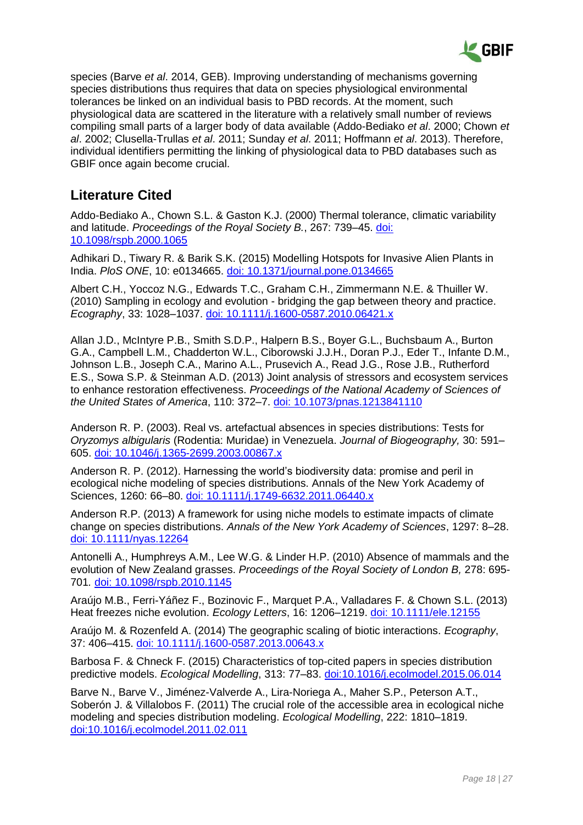

species (Barve *et al*. 2014, GEB). Improving understanding of mechanisms governing species distributions thus requires that data on species physiological environmental tolerances be linked on an individual basis to PBD records. At the moment, such physiological data are scattered in the literature with a relatively small number of reviews compiling small parts of a larger body of data available (Addo-Bediako *et al*. 2000; Chown *et al*. 2002; Clusella-Trullas *et al*. 2011; Sunday *et al*. 2011; Hoffmann *et al*. 2013). Therefore, individual identifiers permitting the linking of physiological data to PBD databases such as GBIF once again become crucial.

## **Literature Cited**

Addo-Bediako A., Chown S.L. & Gaston K.J. (2000) Thermal tolerance, climatic variability and latitude. *Proceedings of the Royal Society B.*, 267: 739–45. [doi:](http://dx.doi.org/10.1098/rspb.2000.1065)  [10.1098/rspb.2000.1065](http://dx.doi.org/10.1098/rspb.2000.1065)

Adhikari D., Tiwary R. & Barik S.K. (2015) Modelling Hotspots for Invasive Alien Plants in India. *PloS ONE*, 10: e0134665. [doi: 10.1371/journal.pone.0134665](http://dx.doi.org/10.1371/journal.pone.0134665)

Albert C.H., Yoccoz N.G., Edwards T.C., Graham C.H., Zimmermann N.E. & Thuiller W. (2010) Sampling in ecology and evolution - bridging the gap between theory and practice. *Ecography*, 33: 1028–1037. [doi: 10.1111/j.1600-0587.2010.06421.x](http://dx.doi.org/10.1111/j.1600-0587.2010.06421.x)

Allan J.D., McIntyre P.B., Smith S.D.P., Halpern B.S., Boyer G.L., Buchsbaum A., Burton G.A., Campbell L.M., Chadderton W.L., Ciborowski J.J.H., Doran P.J., Eder T., Infante D.M., Johnson L.B., Joseph C.A., Marino A.L., Prusevich A., Read J.G., Rose J.B., Rutherford E.S., Sowa S.P. & Steinman A.D. (2013) Joint analysis of stressors and ecosystem services to enhance restoration effectiveness. *Proceedings of the National Academy of Sciences of the United States of America*, 110: 372–7. [doi: 10.1073/pnas.1213841110](http://dx.doi.org/10.1073/pnas.1213841110)

Anderson R. P. (2003). Real vs. artefactual absences in species distributions: Tests for *Oryzomys albigularis* (Rodentia: Muridae) in Venezuela. *Journal of Biogeography,* 30: 591– 605. [doi: 10.1046/j.1365-2699.2003.00867.x](http://dx.doi.org/10.1046/j.1365-2699.2003.00867.x)

Anderson R. P. (2012). Harnessing the world's biodiversity data: promise and peril in ecological niche modeling of species distributions. Annals of the New York Academy of Sciences, 1260: 66–80. [doi: 10.1111/j.1749-6632.2011.06440.x](http://dx.doi.org/10.1111/j.1749-6632.2011.06440.x)

Anderson R.P. (2013) A framework for using niche models to estimate impacts of climate change on species distributions. *Annals of the New York Academy of Sciences*, 1297: 8–28. [doi: 10.1111/nyas.12264](http://dx.doi.org/10.1111/nyas.12264)

Antonelli A., Humphreys A.M., Lee W.G. & Linder H.P. (2010) Absence of mammals and the evolution of New Zealand grasses. *Proceedings of the Royal Society of London B,* 278: 695- 701*.* [doi: 10.1098/rspb.2010.1145](http://dx.doi.org/10.1098/rspb.2010.1145)

Araújo M.B., Ferri-Yáñez F., Bozinovic F., Marquet P.A., Valladares F. & Chown S.L. (2013) Heat freezes niche evolution. *Ecology Letters*, 16: 1206–1219. [doi: 10.1111/ele.12155](http://dx.doi.org/10.1111/ele.12155)

Araújo M. & Rozenfeld A. (2014) The geographic scaling of biotic interactions. *Ecography*, 37: 406–415. [doi: 10.1111/j.1600-0587.2013.00643.x](http://dx.doi.org/10.1111/j.1600-0587.2013.00643.x)

Barbosa F. & Chneck F. (2015) Characteristics of top-cited papers in species distribution predictive models. *Ecological Modelling*, 313: 77–83. [doi:10.1016/j.ecolmodel.2015.06.014](http://dx.doi.org/10.1016/j.ecolmodel.2015.06.014)

Barve N., Barve V., Jiménez-Valverde A., Lira-Noriega A., Maher S.P., Peterson A.T., Soberón J. & Villalobos F. (2011) The crucial role of the accessible area in ecological niche modeling and species distribution modeling. *Ecological Modelling*, 222: 1810–1819. [doi:10.1016/j.ecolmodel.2011.02.011](http://dx.doi.org/10.1016/j.ecolmodel.2011.02.011)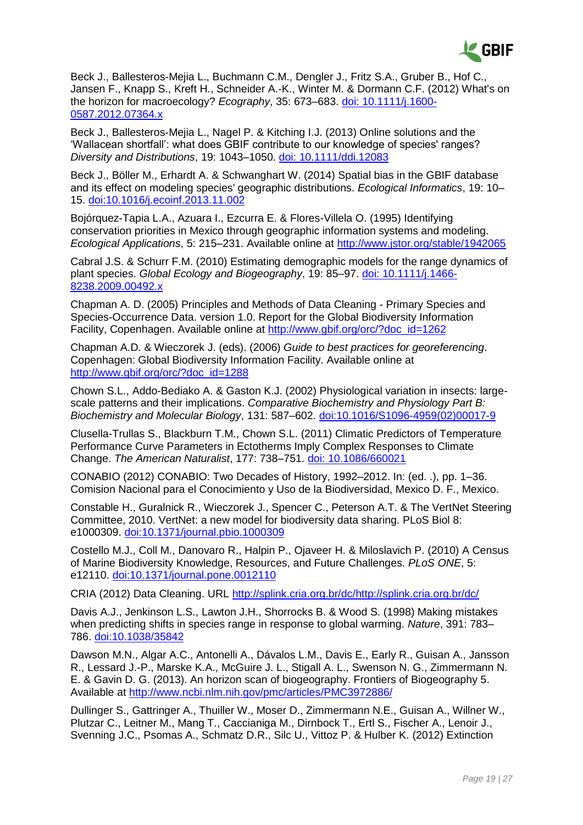

Beck J., Ballesteros-Mejia L., Buchmann C.M., Dengler J., Fritz S.A., Gruber B., Hof C., Jansen F., Knapp S., Kreft H., Schneider A.-K., Winter M. & Dormann C.F. (2012) What's on the horizon for macroecology? *Ecography*, 35: 673–683. [doi: 10.1111/j.1600-](http://dx.doi.org/10.1111/j.1600-0587.2012.07364.x) [0587.2012.07364.x](http://dx.doi.org/10.1111/j.1600-0587.2012.07364.x)

Beck J., Ballesteros-Mejia L., Nagel P. & Kitching I.J. (2013) Online solutions and the 'Wallacean shortfall': what does GBIF contribute to our knowledge of species' ranges? *Diversity and Distributions*, 19: 1043–1050. [doi: 10.1111/ddi.12083](http://dx.doi.org/10.1111/ddi.12083)

Beck J., Böller M., Erhardt A. & Schwanghart W. (2014) Spatial bias in the GBIF database and its effect on modeling species' geographic distributions. *Ecological Informatics*, 19: 10– 15. [doi:10.1016/j.ecoinf.2013.11.002](http://dx.doi.org/10.1016/j.ecoinf.2013.11.002)

Bojórquez-Tapia L.A., Azuara I., Ezcurra E. & Flores-Villela O. (1995) Identifying conservation priorities in Mexico through geographic information systems and modeling. *Ecological Applications*, 5: 215–231. Available online at<http://www.jstor.org/stable/1942065>

Cabral J.S. & Schurr F.M. (2010) Estimating demographic models for the range dynamics of plant species. *Global Ecology and Biogeography*, 19: 85–97. [doi: 10.1111/j.1466-](http://dx.doi.org/10.1111/j.1466-8238.2009.00492.x) [8238.2009.00492.x](http://dx.doi.org/10.1111/j.1466-8238.2009.00492.x)

Chapman A. D. (2005) Principles and Methods of Data Cleaning - Primary Species and Species-Occurrence Data. version 1.0. Report for the Global Biodiversity Information Facility, Copenhagen. Available online at [http://www.gbif.org/orc/?doc\\_id=1262](http://www.gbif.org/orc/?doc_id=1262)

Chapman A.D. & Wieczorek J. (eds). (2006) *Guide to best practices for georeferencing*. Copenhagen: Global Biodiversity Information Facility. Available online at [http://www.gbif.org/orc/?doc\\_id=1288](http://www.gbif.org/orc/?doc_id=1288)

Chown S.L., Addo-Bediako A. & Gaston K.J. (2002) Physiological variation in insects: largescale patterns and their implications. *Comparative Biochemistry and Physiology Part B: Biochemistry and Molecular Biology*, 131: 587–602. [doi:10.1016/S1096-4959\(02\)00017-9](http://dx.doi.org/10.1016/S1096-4959%2802%2900017-9)

Clusella-Trullas S., Blackburn T.M., Chown S.L. (2011) Climatic Predictors of Temperature Performance Curve Parameters in Ectotherms Imply Complex Responses to Climate Change. *The American Naturalist*, 177: 738–751. [doi: 10.1086/660021](http://dx.doi.org/10.1086/660021)

CONABIO (2012) CONABIO: Two Decades of History, 1992–2012. In: (ed. .), pp. 1–36. Comision Nacional para el Conocimiento y Uso de la Biodiversidad, Mexico D. F., Mexico.

Constable H., Guralnick R., Wieczorek J., Spencer C., Peterson A.T. & The VertNet Steering Committee, 2010. VertNet: a new model for biodiversity data sharing. PLoS Biol 8: e1000309. [doi:10.1371/journal.pbio.1000309](http://dx.doi.org/10.1371/journal.pbio.1000309)

Costello M.J., Coll M., Danovaro R., Halpin P., Ojaveer H. & Miloslavich P. (2010) A Census of Marine Biodiversity Knowledge, Resources, and Future Challenges. *PLoS ONE*, 5: e12110. [doi:10.1371/journal.pone.0012110](http://dx.doi.org/10.1371/journal.pone.0012110)

CRIA (2012) Data Cleaning. URL [http://splink.cria.org.br/dc/http://splink.cria.org.br/dc/](http://splink.cria.org.br/dc/)

Davis A.J., Jenkinson L.S., Lawton J.H., Shorrocks B. & Wood S. (1998) Making mistakes when predicting shifts in species range in response to global warming. *Nature*, 391: 783– 786. [doi:10.1038/35842](http://dx.doi.org/10.1038/35842)

Dawson M.N., Algar A.C., Antonelli A., Dávalos L.M., Davis E., Early R., Guisan A., Jansson R., Lessard J.-P., Marske K.A., McGuire J. L., Stigall A. L., Swenson N. G., Zimmermann N. E. & Gavin D. G. (2013). An horizon scan of biogeography. Frontiers of Biogeography 5. Available at<http://www.ncbi.nlm.nih.gov/pmc/articles/PMC3972886/>

Dullinger S., Gattringer A., Thuiller W., Moser D., Zimmermann N.E., Guisan A., Willner W., Plutzar C., Leitner M., Mang T., Caccianiga M., Dirnbock T., Ertl S., Fischer A., Lenoir J., Svenning J.C., Psomas A., Schmatz D.R., Silc U., Vittoz P. & Hulber K. (2012) Extinction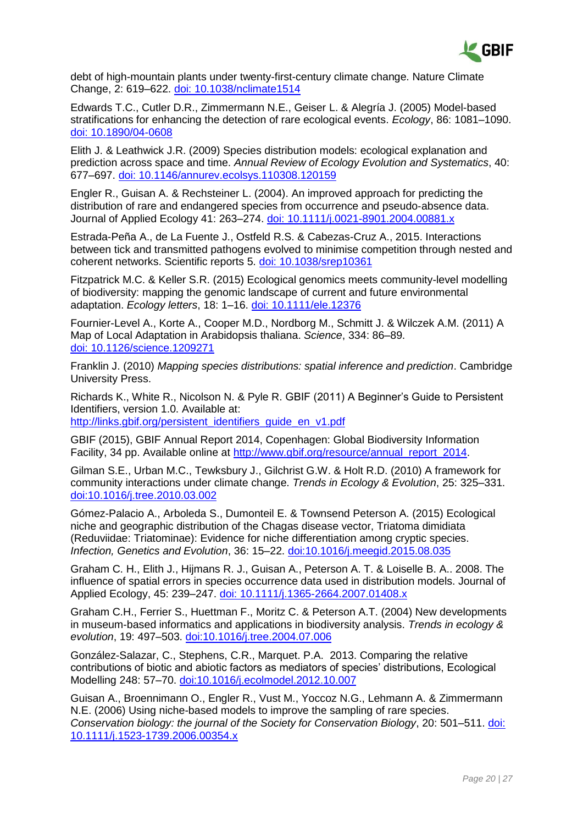

debt of high-mountain plants under twenty-first-century climate change. Nature Climate Change, 2: 619–622. [doi: 10.1038/nclimate1514](http://dx.doi.org/10.1038/nclimate1514)

Edwards T.C., Cutler D.R., Zimmermann N.E., Geiser L. & Alegría J. (2005) Model-based stratifications for enhancing the detection of rare ecological events. *Ecology*, 86: 1081–1090. [doi: 10.1890/04-0608](http://dx.doi.org/10.1890/04-0608)

Elith J. & Leathwick J.R. (2009) Species distribution models: ecological explanation and prediction across space and time. *Annual Review of Ecology Evolution and Systematics*, 40: 677–697. [doi: 10.1146/annurev.ecolsys.110308.120159](http://dx.doi.org/10.1146/annurev.ecolsys.110308.120159)

Engler R., Guisan A. & Rechsteiner L. (2004). An improved approach for predicting the distribution of rare and endangered species from occurrence and pseudo‐absence data. Journal of Applied Ecology 41: 263–274. [doi: 10.1111/j.0021-8901.2004.00881.x](http://dx.doi.org/10.1111/j.0021-8901.2004.00881.x)

Estrada-Peña A., de La Fuente J., Ostfeld R.S. & Cabezas-Cruz A., 2015. Interactions between tick and transmitted pathogens evolved to minimise competition through nested and coherent networks. Scientific reports 5. [doi: 10.1038/srep10361](http://dx.doi.org/10.1038/srep10361)

Fitzpatrick M.C. & Keller S.R. (2015) Ecological genomics meets community-level modelling of biodiversity: mapping the genomic landscape of current and future environmental adaptation. *Ecology letters*, 18: 1–16. [doi: 10.1111/ele.12376](http://dx.doi.org/10.1111/ele.12376)

Fournier-Level A., Korte A., Cooper M.D., Nordborg M., Schmitt J. & Wilczek A.M. (2011) A Map of Local Adaptation in Arabidopsis thaliana. *Science*, 334: 86–89. doi: [10.1126/science.1209271](http://dx.doi.org/10.1126/science.1209271)

Franklin J. (2010) *Mapping species distributions: spatial inference and prediction*. Cambridge University Press.

Richards K., White R., Nicolson N. & Pyle R. GBIF (2011) A Beginner's Guide to Persistent Identifiers, version 1.0. Available at: [http://links.gbif.org/persistent\\_identifiers\\_guide\\_en\\_v1.pdf](http://links.gbif.org/persistent_identifiers_guide_en_v1.pdf)

GBIF (2015), GBIF Annual Report 2014, Copenhagen: Global Biodiversity Information Facility, 34 pp. Available online at [http://www.gbif.org/resource/annual\\_report\\_2014.](http://www.gbif.org/resource/annual_report_2014)

Gilman S.E., Urban M.C., Tewksbury J., Gilchrist G.W. & Holt R.D. (2010) A framework for community interactions under climate change. *Trends in Ecology & Evolution*, 25: 325–331. [doi:10.1016/j.tree.2010.03.002](http://dx.doi.org/10.1016/j.tree.2010.03.002)

Gómez-Palacio A., Arboleda S., Dumonteil E. & Townsend Peterson A. (2015) Ecological niche and geographic distribution of the Chagas disease vector, Triatoma dimidiata (Reduviidae: Triatominae): Evidence for niche differentiation among cryptic species. *Infection, Genetics and Evolution*, 36: 15–22. [doi:10.1016/j.meegid.2015.08.035](http://dx.doi.org/10.1016/j.meegid.2015.08.035)

Graham C. H., Elith J., Hijmans R. J., Guisan A., Peterson A. T. & Loiselle B. A.. 2008. The influence of spatial errors in species occurrence data used in distribution models. Journal of Applied Ecology, 45: 239–247. [doi: 10.1111/j.1365-2664.2007.01408.x](http://dx.doi.org/10.1111/j.1365-2664.2007.01408.x)

Graham C.H., Ferrier S., Huettman F., Moritz C. & Peterson A.T. (2004) New developments in museum-based informatics and applications in biodiversity analysis. *Trends in ecology & evolution*, 19: 497–503. [doi:10.1016/j.tree.2004.07.006](http://dx.doi.org/10.1016/j.tree.2004.07.006)

González-Salazar, C., Stephens, C.R., Marquet. P.A. 2013. Comparing the relative contributions of biotic and abiotic factors as mediators of species' distributions, Ecological Modelling 248: 57–70. [doi:10.1016/j.ecolmodel.2012.10.007](http://dx.doi.org/10.1016/j.ecolmodel.2012.10.007)

Guisan A., Broennimann O., Engler R., Vust M., Yoccoz N.G., Lehmann A. & Zimmermann N.E. (2006) Using niche-based models to improve the sampling of rare species. *Conservation biology: the journal of the Society for Conservation Biology*, 20: 501–511. [doi:](http://dx.doi.org/10.1111/j.1523-1739.2006.00354.x)  [10.1111/j.1523-1739.2006.00354.x](http://dx.doi.org/10.1111/j.1523-1739.2006.00354.x)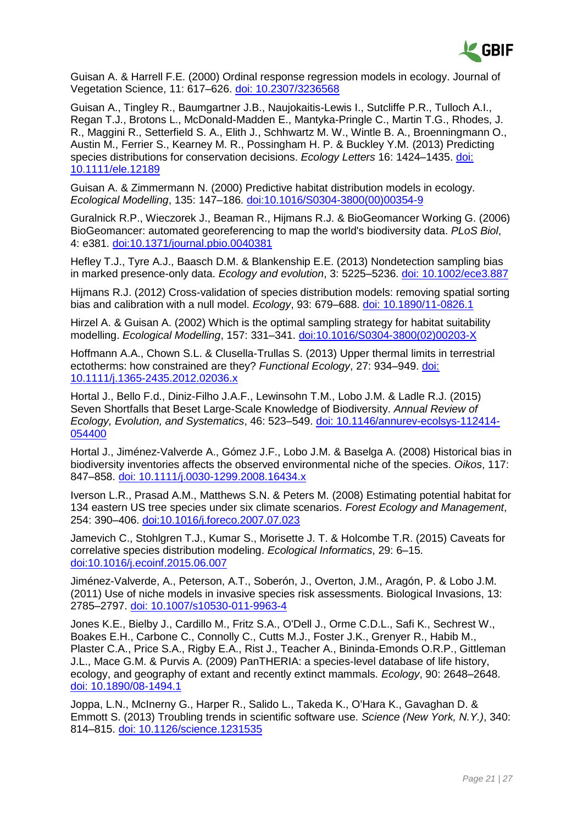

Guisan A. & Harrell F.E. (2000) Ordinal response regression models in ecology. Journal of Vegetation Science, 11: 617–626. doi: [10.2307/3236568](http://dx.doi.org/10.2307/3236568)

Guisan A., Tingley R., Baumgartner J.B., Naujokaitis-Lewis I., Sutcliffe P.R., Tulloch A.I., Regan T.J., Brotons L., McDonald-Madden E., Mantyka-Pringle C., Martin T.G., Rhodes, J. R., Maggini R., Setterfield S. A., Elith J., Schhwartz M. W., Wintle B. A., Broenningmann O., Austin M., Ferrier S., Kearney M. R., Possingham H. P. & Buckley Y.M. (2013) Predicting species distributions for conservation decisions. *Ecology Letters* 16: 1424–1435. [doi:](http://dx.doi.org/10.1111/ele.12189)  [10.1111/ele.12189](http://dx.doi.org/10.1111/ele.12189)

Guisan A. & Zimmermann N. (2000) Predictive habitat distribution models in ecology. *Ecological Modelling*, 135: 147–186. [doi:10.1016/S0304-3800\(00\)00354-9](http://dx.doi.org/10.1016/S0304-3800%2800%2900354-9)

Guralnick R.P., Wieczorek J., Beaman R., Hijmans R.J. & BioGeomancer Working G. (2006) BioGeomancer: automated georeferencing to map the world's biodiversity data. *PLoS Biol*, 4: e381. [doi:10.1371/journal.pbio.0040381](http://dx.doi.org/10.1371/journal.pbio.0040381)

Hefley T.J., Tyre A.J., Baasch D.M. & Blankenship E.E. (2013) Nondetection sampling bias in marked presence-only data. *Ecology and evolution*, 3: 5225–5236. doi: [10.1002/ece3.887](http://dx.doi.org/10.1002%2Fece3.887)

Hijmans R.J. (2012) Cross-validation of species distribution models: removing spatial sorting bias and calibration with a null model. *Ecology*, 93: 679–688. doi: [10.1890/11-0826.1](http://dx.doi.org/10.1890/11-0826.1)

Hirzel A. & Guisan A. (2002) Which is the optimal sampling strategy for habitat suitability modelling. *Ecological Modelling*, 157: 331–341. [doi:10.1016/S0304-3800\(02\)00203-X](http://dx.doi.org/10.1016/S0304-3800%2802%2900203-X)

Hoffmann A.A., Chown S.L. & Clusella-Trullas S. (2013) Upper thermal limits in terrestrial ectotherms: how constrained are they? *Functional Ecology*, 27: 934–949. [doi:](http://dx.doi.org/10.1111/j.1365-2435.2012.02036.x)  [10.1111/j.1365-2435.2012.02036.x](http://dx.doi.org/10.1111/j.1365-2435.2012.02036.x)

Hortal J., Bello F.d., Diniz-Filho J.A.F., Lewinsohn T.M., Lobo J.M. & Ladle R.J. (2015) Seven Shortfalls that Beset Large-Scale Knowledge of Biodiversity. *Annual Review of Ecology, Evolution, and Systematics*, 46: 523–549. [doi: 10.1146/annurev-ecolsys-112414-](http://dx.doi.org/10.1146/annurev-ecolsys-112414-054400) [054400](http://dx.doi.org/10.1146/annurev-ecolsys-112414-054400)

Hortal J., Jiménez-Valverde A., Gómez J.F., Lobo J.M. & Baselga A. (2008) Historical bias in biodiversity inventories affects the observed environmental niche of the species. *Oikos*, 117: 847–858. [doi: 10.1111/j.0030-1299.2008.16434.x](http://dx.doi.org/10.1111/j.0030-1299.2008.16434.x)

Iverson L.R., Prasad A.M., Matthews S.N. & Peters M. (2008) Estimating potential habitat for 134 eastern US tree species under six climate scenarios. *Forest Ecology and Management*, 254: 390–406. [doi:10.1016/j.foreco.2007.07.023](http://dx.doi.org/10.1016/j.foreco.2007.07.023)

Jamevich C., Stohlgren T.J., Kumar S., Morisette J. T. & Holcombe T.R. (2015) Caveats for correlative species distribution modeling. *Ecological Informatics*, 29: 6–15. [doi:10.1016/j.ecoinf.2015.06.007](http://dx.doi.org/10.1016/j.ecoinf.2015.06.007)

Jiménez-Valverde, A., Peterson, A.T., Soberón, J., Overton, J.M., Aragón, P. & Lobo J.M. (2011) Use of niche models in invasive species risk assessments. Biological Invasions, 13: 2785–2797. [doi: 10.1007/s10530-011-9963-4](http://dx.doi.org/10.1007/s10530-011-9963-4)

Jones K.E., Bielby J., Cardillo M., Fritz S.A., O'Dell J., Orme C.D.L., Safi K., Sechrest W., Boakes E.H., Carbone C., Connolly C., Cutts M.J., Foster J.K., Grenyer R., Habib M., Plaster C.A., Price S.A., Rigby E.A., Rist J., Teacher A., Bininda-Emonds O.R.P., Gittleman J.L., Mace G.M. & Purvis A. (2009) PanTHERIA: a species-level database of life history, ecology, and geography of extant and recently extinct mammals. *Ecology*, 90: 2648–2648. [doi: 10.1890/08-1494.1](http://dx.doi.org/10.1890/08-1494.1)

Joppa, L.N., McInerny G., Harper R., Salido L., Takeda K., O'Hara K., Gavaghan D. & Emmott S. (2013) Troubling trends in scientific software use. *Science (New York, N.Y.)*, 340: 814–815. [doi: 10.1126/science.1231535](http://dx.doi.org/10.1126/science.1231535)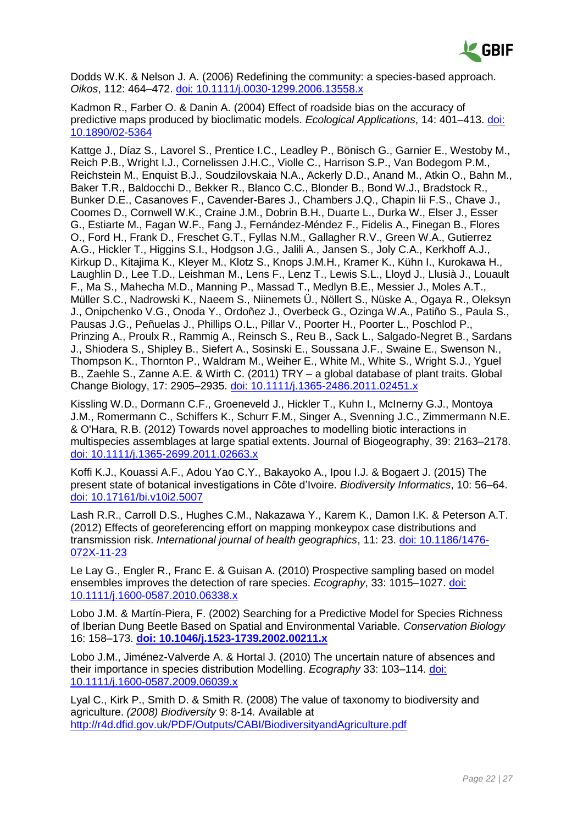

Dodds W.K. & Nelson J. A. (2006) Redefining the community: a species-based approach. *Oikos*, 112: 464–472. [doi: 10.1111/j.0030-1299.2006.13558.x](http://dx.doi.org/10.1111/j.0030-1299.2006.13558.x)

Kadmon R., Farber O. & Danin A. (2004) Effect of roadside bias on the accuracy of predictive maps produced by bioclimatic models. *Ecological Applications*, 14: 401–413. [doi:](http://dx.doi.org/10.1890/02-5364)  [10.1890/02-5364](http://dx.doi.org/10.1890/02-5364)

Kattge J., Díaz S., Lavorel S., Prentice I.C., Leadley P., Bönisch G., Garnier E., Westoby M., Reich P.B., Wright I.J., Cornelissen J.H.C., Violle C., Harrison S.P., Van Bodegom P.M., Reichstein M., Enquist B.J., Soudzilovskaia N.A., Ackerly D.D., Anand M., Atkin O., Bahn M., Baker T.R., Baldocchi D., Bekker R., Blanco C.C., Blonder B., Bond W.J., Bradstock R., Bunker D.E., Casanoves F., Cavender-Bares J., Chambers J.Q., Chapin Iii F.S., Chave J., Coomes D., Cornwell W.K., Craine J.M., Dobrin B.H., Duarte L., Durka W., Elser J., Esser G., Estiarte M., Fagan W.F., Fang J., Fernández-Méndez F., Fidelis A., Finegan B., Flores O., Ford H., Frank D., Freschet G.T., Fyllas N.M., Gallagher R.V., Green W.A., Gutierrez A.G., Hickler T., Higgins S.I., Hodgson J.G., Jalili A., Jansen S., Joly C.A., Kerkhoff A.J., Kirkup D., Kitajima K., Kleyer M., Klotz S., Knops J.M.H., Kramer K., Kühn I., Kurokawa H., Laughlin D., Lee T.D., Leishman M., Lens F., Lenz T., Lewis S.L., Lloyd J., Llusià J., Louault F., Ma S., Mahecha M.D., Manning P., Massad T., Medlyn B.E., Messier J., Moles A.T., Müller S.C., Nadrowski K., Naeem S., Niinemets Ü., Nöllert S., Nüske A., Ogaya R., Oleksyn J., Onipchenko V.G., Onoda Y., Ordoñez J., Overbeck G., Ozinga W.A., Patiño S., Paula S., Pausas J.G., Peñuelas J., Phillips O.L., Pillar V., Poorter H., Poorter L., Poschlod P., Prinzing A., Proulx R., Rammig A., Reinsch S., Reu B., Sack L., Salgado-Negret B., Sardans J., Shiodera S., Shipley B., Siefert A., Sosinski E., Soussana J.F., Swaine E., Swenson N., Thompson K., Thornton P., Waldram M., Weiher E., White M., White S., Wright S.J., Yguel B., Zaehle S., Zanne A.E. & Wirth C. (2011) TRY – a global database of plant traits. Global Change Biology, 17: 2905–2935. [doi: 10.1111/j.1365-2486.2011.02451.x](http://dx.doi.org/10.1111/j.1365-2486.2011.02451.x)

Kissling W.D., Dormann C.F., Groeneveld J., Hickler T., Kuhn I., McInerny G.J., Montoya J.M., Romermann C., Schiffers K., Schurr F.M., Singer A., Svenning J.C., Zimmermann N.E. & O'Hara, R.B. (2012) Towards novel approaches to modelling biotic interactions in multispecies assemblages at large spatial extents. Journal of Biogeography, 39: 2163–2178. doi: [10.1111/j.1365-2699.2011.02663.x](http://dx.doi.org/10.1111/j.1365-2699.2011.02663.x)

Koffi K.J., Kouassi A.F., Adou Yao C.Y., Bakayoko A., Ipou I.J. & Bogaert J. (2015) The present state of botanical investigations in Côte d'Ivoire. *Biodiversity Informatics*, 10: 56–64. [doi: 10.17161/bi.v10i2.5007](http://dx.doi.org/10.17161/bi.v10i2.5007)

Lash R.R., Carroll D.S., Hughes C.M., Nakazawa Y., Karem K., Damon I.K. & Peterson A.T. (2012) Effects of georeferencing effort on mapping monkeypox case distributions and transmission risk. *International journal of health geographics*, 11: 23. [doi: 10.1186/1476-](http://dx.doi.org/10.1186/1476-072X-11-23) [072X-11-23](http://dx.doi.org/10.1186/1476-072X-11-23)

Le Lay G., Engler R., Franc E. & Guisan A. (2010) Prospective sampling based on model ensembles improves the detection of rare species. *Ecography*, 33: 1015–1027. [doi:](http://dx.doi.org/10.1111/j.1600-0587.2010.06338.x)  [10.1111/j.1600-0587.2010.06338.x](http://dx.doi.org/10.1111/j.1600-0587.2010.06338.x)

Lobo J.M. & Martín-Piera, F. (2002) Searching for a Predictive Model for Species Richness of Iberian Dung Beetle Based on Spatial and Environmental Variable. *Conservation Biology* 16: 158–173. **[doi: 10.1046/j.1523-1739.2002.00211.x](http://dx.doi.org/10.1046/j.1523-1739.2002.00211.x)**

Lobo J.M., Jiménez-Valverde A. & Hortal J. (2010) The uncertain nature of absences and their importance in species distribution Modelling. *Ecography* 33: 103–114. [doi:](http://dx.doi.org/10.1111/j.1600-0587.2009.06039.x)  [10.1111/j.1600-0587.2009.06039.x](http://dx.doi.org/10.1111/j.1600-0587.2009.06039.x)

Lyal C., Kirk P., Smith D. & Smith R. (2008) The value of taxonomy to biodiversity and agriculture. *(2008) Biodiversity* 9: 8-14*.* Available at <http://r4d.dfid.gov.uk/PDF/Outputs/CABI/BiodiversityandAgriculture.pdf>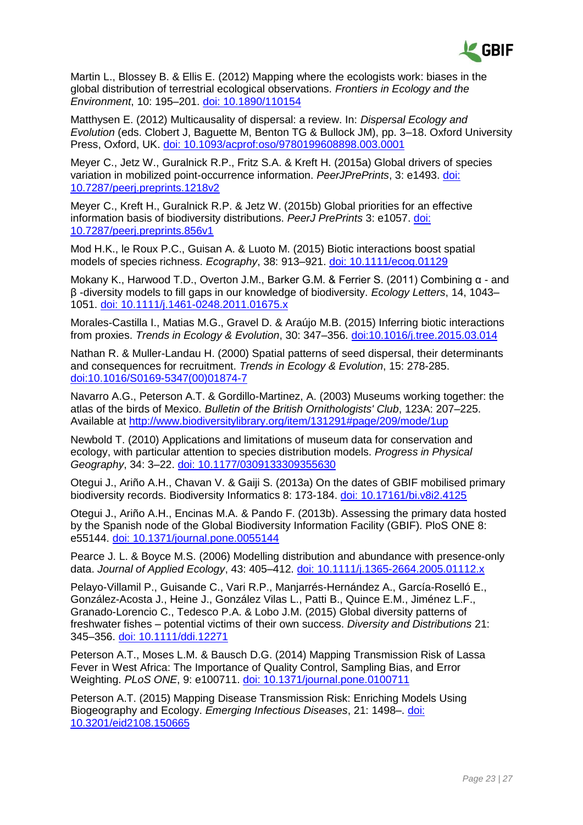

Martin L., Blossey B. & Ellis E. (2012) Mapping where the ecologists work: biases in the global distribution of terrestrial ecological observations. *Frontiers in Ecology and the Environment*, 10: 195–201. [doi: 10.1890/110154](http://dx.doi.org/10.1890/110154)

Matthysen E. (2012) Multicausality of dispersal: a review. In: *Dispersal Ecology and Evolution* (eds. Clobert J, Baguette M, Benton TG & Bullock JM), pp. 3–18. Oxford University Press, Oxford, UK. [doi: 10.1093/acprof:oso/9780199608898.003.0001](http://dx.doi.org/10.1093/acprof:oso/9780199608898.003.0001)

Meyer C., Jetz W., Guralnick R.P., Fritz S.A. & Kreft H. (2015a) Global drivers of species variation in mobilized point-occurrence information. *PeerJPrePrints*, 3: e1493. [doi:](https://doi.org/10.7287/peerj.preprints.1218v2)  [10.7287/peerj.preprints.1218v2](https://doi.org/10.7287/peerj.preprints.1218v2)

Meyer C., Kreft H., Guralnick R.P. & Jetz W. (2015b) Global priorities for an effective information basis of biodiversity distributions. *PeerJ PrePrints* 3: e1057. [doi:](https://doi.org/10.7287/peerj.preprints.856v1)  [10.7287/peerj.preprints.856v1](https://doi.org/10.7287/peerj.preprints.856v1)

Mod H.K., le Roux P.C., Guisan A. & Luoto M. (2015) Biotic interactions boost spatial models of species richness. *Ecography*, 38: 913–921. [doi: 10.1111/ecog.01129](http://dx.doi.org/10.1111/ecog.01129)

Mokany K., Harwood T.D., Overton J.M., Barker G.M. & Ferrier S. (2011) Combining α - and β -diversity models to fill gaps in our knowledge of biodiversity. *Ecology Letters*, 14, 1043– 1051. [doi: 10.1111/j.1461-0248.2011.01675.x](http://dx.doi.org/10.1111/j.1461-0248.2011.01675.x)

Morales-Castilla I., Matias M.G., Gravel D. & Araújo M.B. (2015) Inferring biotic interactions from proxies. *Trends in Ecology & Evolution*, 30: 347–356. [doi:10.1016/j.tree.2015.03.014](http://dx.doi.org/10.1016/j.tree.2015.03.014)

Nathan R. & Muller-Landau H. (2000) Spatial patterns of seed dispersal, their determinants and consequences for recruitment. *Trends in Ecology & Evolution*, 15: 278-285. [doi:10.1016/S0169-5347\(00\)01874-7](http://dx.doi.org/10.1016/S0169-5347%2800%2901874-7)

Navarro A.G., Peterson A.T. & Gordillo-Martinez, A. (2003) Museums working together: the atlas of the birds of Mexico. *Bulletin of the British Ornithologists' Club*, 123A: 207–225. Available at<http://www.biodiversitylibrary.org/item/131291#page/209/mode/1up>

Newbold T. (2010) Applications and limitations of museum data for conservation and ecology, with particular attention to species distribution models. *Progress in Physical Geography*, 34: 3–22. [doi: 10.1177/0309133309355630](http://dx.doi.org/10.1177/0309133309355630)

Otegui J., Ariño A.H., Chavan V. & Gaiji S. (2013a) On the dates of GBIF mobilised primary biodiversity records. Biodiversity Informatics 8: 173-184. [doi: 10.17161/bi.v8i2.4125](http://dx.doi.org/10.17161/bi.v8i2.4125)

Otegui J., Ariño A.H., Encinas M.A. & Pando F. (2013b). Assessing the primary data hosted by the Spanish node of the Global Biodiversity Information Facility (GBIF). PloS ONE 8: e55144. [doi: 10.1371/journal.pone.0055144](http://dx.doi.org/10.1371/journal.pone.0055144)

Pearce J. L. & Boyce M.S. (2006) Modelling distribution and abundance with presence-only data. *Journal of Applied Ecology*, 43: 405–412. [doi: 10.1111/j.1365-2664.2005.01112.x](http://dx.doi.org/10.1111/j.1365-2664.2005.01112.x)

Pelayo-Villamil P., Guisande C., Vari R.P., Manjarrés-Hernández A., García-Roselló E., González-Acosta J., Heine J., González Vilas L., Patti B., Quince E.M., Jiménez L.F., Granado-Lorencio C., Tedesco P.A. & Lobo J.M. (2015) Global diversity patterns of freshwater fishes – potential victims of their own success. *Diversity and Distributions* 21: 345–356. [doi: 10.1111/ddi.12271](http://dx.doi.org/10.1111/ddi.12271)

Peterson A.T., Moses L.M. & Bausch D.G. (2014) Mapping Transmission Risk of Lassa Fever in West Africa: The Importance of Quality Control, Sampling Bias, and Error Weighting. *PLoS ONE*, 9: e100711. [doi: 10.1371/journal.pone.0100711](http://dx.doi.org/10.1371/journal.pone.0100711)

Peterson A.T. (2015) Mapping Disease Transmission Risk: Enriching Models Using Biogeography and Ecology. *Emerging Infectious Diseases*, 21: 1498–. [doi:](http://dx.doi.org/10.3201/eid2108.150665)  [10.3201/eid2108.150665](http://dx.doi.org/10.3201/eid2108.150665)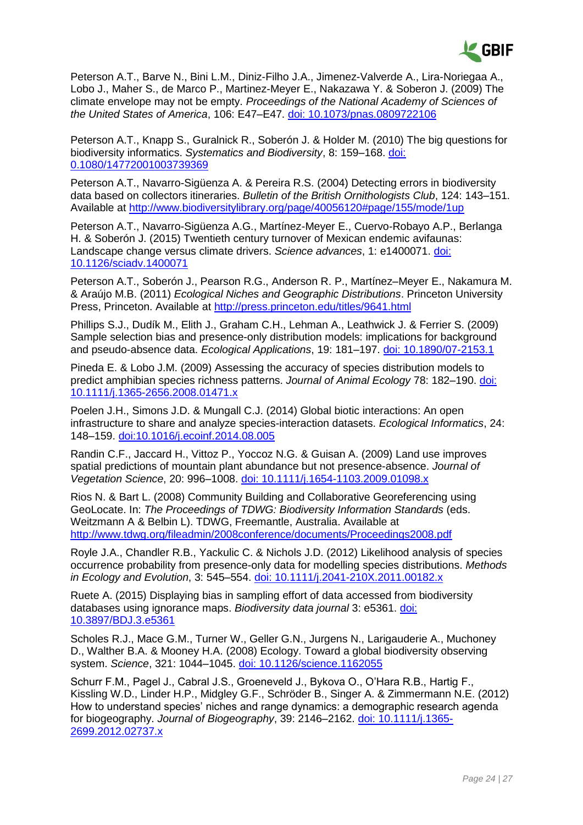

Peterson A.T., Barve N., Bini L.M., Diniz-Filho J.A., Jimenez-Valverde A., Lira-Noriegaa A., Lobo J., Maher S., de Marco P., Martinez-Meyer E., Nakazawa Y. & Soberon J. (2009) The climate envelope may not be empty. *Proceedings of the National Academy of Sciences of the United States of America*, 106: E47–E47. [doi: 10.1073/pnas.0809722106](http://dx.doi.org/10.1073/pnas.0809722106)

Peterson A.T., Knapp S., Guralnick R., Soberón J. & Holder M. (2010) The big questions for biodiversity informatics. *Systematics and Biodiversity*, 8: 159–168. [doi:](http://dx.doi.org/10.1080/14772001003739369)  [0.1080/14772001003739369](http://dx.doi.org/10.1080/14772001003739369)

Peterson A.T., Navarro-Sigüenza A. & Pereira R.S. (2004) Detecting errors in biodiversity data based on collectors itineraries. *Bulletin of the British Ornithologists Club*, 124: 143–151. Available at<http://www.biodiversitylibrary.org/page/40056120#page/155/mode/1up>

Peterson A.T., Navarro-Sigüenza A.G., Martínez-Meyer E., Cuervo-Robayo A.P., Berlanga H. & Soberón J. (2015) Twentieth century turnover of Mexican endemic avifaunas: Landscape change versus climate drivers. *Science advances*, 1: e1400071. [doi:](http://dx.doi.org/10.1126/sciadv.1400071)  [10.1126/sciadv.1400071](http://dx.doi.org/10.1126/sciadv.1400071)

Peterson A.T., Soberón J., Pearson R.G., Anderson R. P., Martínez–Meyer E., Nakamura M. & Araújo M.B. (2011) *Ecological Niches and Geographic Distributions*. Princeton University Press, Princeton. Available at<http://press.princeton.edu/titles/9641.html>

Phillips S.J., Dudík M., Elith J., Graham C.H., Lehman A., Leathwick J. & Ferrier S. (2009) Sample selection bias and presence-only distribution models: implications for background and pseudo-absence data. *Ecological Applications*, 19: 181–197. [doi: 10.1890/07-2153.1](http://dx.doi.org/10.1890/07-2153.1)

Pineda E. & Lobo J.M. (2009) Assessing the accuracy of species distribution models to predict amphibian species richness patterns. *Journal of Animal Ecology* 78: 182–190. [doi:](http://dx.doi.org/10.1111/j.1365-2656.2008.01471.x)  [10.1111/j.1365-2656.2008.01471.x](http://dx.doi.org/10.1111/j.1365-2656.2008.01471.x)

Poelen J.H., Simons J.D. & Mungall C.J. (2014) Global biotic interactions: An open infrastructure to share and analyze species-interaction datasets. *Ecological Informatics*, 24: 148–159. [doi:10.1016/j.ecoinf.2014.08.005](http://dx.doi.org/10.1016/j.ecoinf.2014.08.005)

Randin C.F., Jaccard H., Vittoz P., Yoccoz N.G. & Guisan A. (2009) Land use improves spatial predictions of mountain plant abundance but not presence-absence. *Journal of Vegetation Science*, 20: 996–1008. [doi: 10.1111/j.1654-1103.2009.01098.x](http://dx.doi.org/10.1111/j.1654-1103.2009.01098.x)

Rios N. & Bart L. (2008) Community Building and Collaborative Georeferencing using GeoLocate. In: *The Proceedings of TDWG: Biodiversity Information Standards* (eds. Weitzmann A & Belbin L). TDWG, Freemantle, Australia. Available at <http://www.tdwg.org/fileadmin/2008conference/documents/Proceedings2008.pdf>

Royle J.A., Chandler R.B., Yackulic C. & Nichols J.D. (2012) Likelihood analysis of species occurrence probability from presence-only data for modelling species distributions. *Methods in Ecology and Evolution*, 3: 545–554. [doi: 10.1111/j.2041-210X.2011.00182.x](http://dx.doi.org/10.1111/j.2041-210X.2011.00182.x)

Ruete A. (2015) Displaying bias in sampling effort of data accessed from biodiversity databases using ignorance maps. *Biodiversity data journal* 3: e5361. [doi:](http://dx.doi.org/10.3897/BDJ.3.e5361)  [10.3897/BDJ.3.e5361](http://dx.doi.org/10.3897/BDJ.3.e5361)

Scholes R.J., Mace G.M., Turner W., Geller G.N., Jurgens N., Larigauderie A., Muchoney D., Walther B.A. & Mooney H.A. (2008) Ecology. Toward a global biodiversity observing system. *Science*, 321: 1044–1045. [doi: 10.1126/science.1162055](http://dx.doi.org/10.1126/science.1162055)

Schurr F.M., Pagel J., Cabral J.S., Groeneveld J., Bykova O., O'Hara R.B., Hartig F., Kissling W.D., Linder H.P., Midgley G.F., Schröder B., Singer A. & Zimmermann N.E. (2012) How to understand species' niches and range dynamics: a demographic research agenda for biogeography. *Journal of Biogeography*, 39: 2146–2162. [doi: 10.1111/j.1365-](http://dx.doi.org/10.1111/j.1365-2699.2012.02737.x) [2699.2012.02737.x](http://dx.doi.org/10.1111/j.1365-2699.2012.02737.x)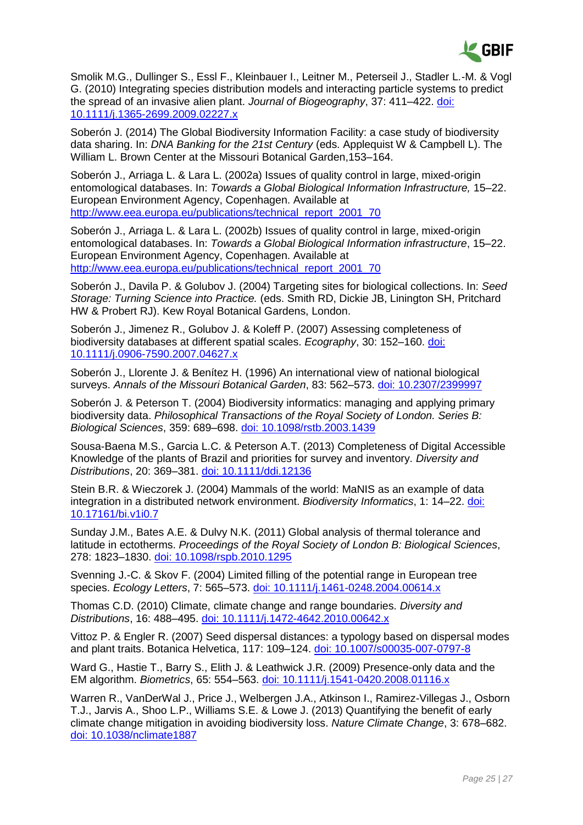

Smolik M.G., Dullinger S., Essl F., Kleinbauer I., Leitner M., Peterseil J., Stadler L.-M. & Vogl G. (2010) Integrating species distribution models and interacting particle systems to predict the spread of an invasive alien plant. *Journal of Biogeography*, 37: 411–422. [doi:](http://dx.doi.org/10.1111/j.1365-2699.2009.02227.x)  [10.1111/j.1365-2699.2009.02227.x](http://dx.doi.org/10.1111/j.1365-2699.2009.02227.x)

Soberón J. (2014) The Global Biodiversity Information Facility: a case study of biodiversity data sharing. In: *DNA Banking for the 21st Century* (eds. Applequist W & Campbell L). The William L. Brown Center at the Missouri Botanical Garden,153–164.

Soberón J., Arriaga L. & Lara L. (2002a) Issues of quality control in large, mixed-origin entomological databases. In: *Towards a Global Biological Information Infrastructure,* 15–22. European Environment Agency, Copenhagen. Available at [http://www.eea.europa.eu/publications/technical\\_report\\_2001\\_70](http://www.eea.europa.eu/publications/technical_report_2001_70)

Soberón J., Arriaga L. & Lara L. (2002b) Issues of quality control in large, mixed-origin entomological databases. In: *Towards a Global Biological Information infrastructure*, 15–22. European Environment Agency, Copenhagen. Available at [http://www.eea.europa.eu/publications/technical\\_report\\_2001\\_70](http://www.eea.europa.eu/publications/technical_report_2001_70)

Soberón J., Davila P. & Golubov J. (2004) Targeting sites for biological collections. In: *Seed Storage: Turning Science into Practice.* (eds. Smith RD, Dickie JB, Linington SH, Pritchard HW & Probert RJ). Kew Royal Botanical Gardens, London.

Soberón J., Jimenez R., Golubov J. & Koleff P. (2007) Assessing completeness of biodiversity databases at different spatial scales. *Ecography*, 30: 152–160. [doi:](http://dx.doi.org/10.1111/j.0906-7590.2007.04627.x)  [10.1111/j.0906-7590.2007.04627.x](http://dx.doi.org/10.1111/j.0906-7590.2007.04627.x)

Soberón J., Llorente J. & Benítez H. (1996) An international view of national biological surveys. *Annals of the Missouri Botanical Garden*, 83: 562–573. [doi: 10.2307/2399997](http://dx.doi.org/10.2307/2399997)

Soberón J. & Peterson T. (2004) Biodiversity informatics: managing and applying primary biodiversity data. *Philosophical Transactions of the Royal Society of London. Series B: Biological Sciences*, 359: 689–698. [doi: 10.1098/rstb.2003.1439](http://dx.doi.org/10.1098%2Frstb.2003.1439)

Sousa-Baena M.S., Garcia L.C. & Peterson A.T. (2013) Completeness of Digital Accessible Knowledge of the plants of Brazil and priorities for survey and inventory. *Diversity and Distributions*, 20: 369–381. [doi: 10.1111/ddi.12136](http://dx.doi.org/10.1111/ddi.12136)

Stein B.R. & Wieczorek J. (2004) Mammals of the world: MaNIS as an example of data integration in a distributed network environment. *Biodiversity Informatics*, 1: 14–22. [doi:](http://dx.doi.org/10.17161/bi.v1i0.7)  [10.17161/bi.v1i0.7](http://dx.doi.org/10.17161/bi.v1i0.7)

Sunday J.M., Bates A.E. & Dulvy N.K. (2011) Global analysis of thermal tolerance and latitude in ectotherms. *Proceedings of the Royal Society of London B: Biological Sciences*, 278: 1823–1830. [doi: 10.1098/rspb.2010.1295](http://dx.doi.org/10.1098/rspb.2010.1295)

Svenning J.-C. & Skov F. (2004) Limited filling of the potential range in European tree species. *Ecology Letters*, 7: 565–573. [doi: 10.1111/j.1461-0248.2004.00614.x](http://dx.doi.org/10.1111/j.1461-0248.2004.00614.x)

Thomas C.D. (2010) Climate, climate change and range boundaries. *Diversity and Distributions*, 16: 488–495. [doi: 10.1111/j.1472-4642.2010.00642.x](http://dx.doi.org/10.1111/j.1472-4642.2010.00642.x)

Vittoz P. & Engler R. (2007) Seed dispersal distances: a typology based on dispersal modes and plant traits. Botanica Helvetica, 117: 109–124. [doi: 10.1007/s00035-007-0797-8](http://dx.doi.org/10.1007/s00035-007-0797-8)

Ward G., Hastie T., Barry S., Elith J. & Leathwick J.R. (2009) Presence-only data and the EM algorithm. *Biometrics*, 65: 554–563. [doi: 10.1111/j.1541-0420.2008.01116.x](http://dx.doi.org/10.1111/j.1541-0420.2008.01116.x)

Warren R., VanDerWal J., Price J., Welbergen J.A., Atkinson I., Ramirez-Villegas J., Osborn T.J., Jarvis A., Shoo L.P., Williams S.E. & Lowe J. (2013) Quantifying the benefit of early climate change mitigation in avoiding biodiversity loss. *Nature Climate Change*, 3: 678–682. [doi: 10.1038/nclimate1887](http://dx.doi.org/10.1038/nclimate1887)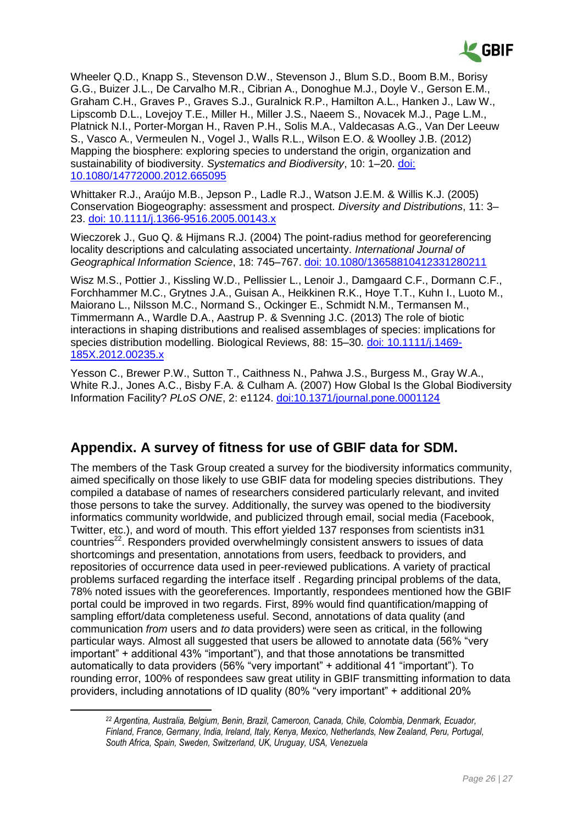

Wheeler Q.D., Knapp S., Stevenson D.W., Stevenson J., Blum S.D., Boom B.M., Borisy G.G., Buizer J.L., De Carvalho M.R., Cibrian A., Donoghue M.J., Doyle V., Gerson E.M., Graham C.H., Graves P., Graves S.J., Guralnick R.P., Hamilton A.L., Hanken J., Law W., Lipscomb D.L., Lovejoy T.E., Miller H., Miller J.S., Naeem S., Novacek M.J., Page L.M., Platnick N.I., Porter-Morgan H., Raven P.H., Solis M.A., Valdecasas A.G., Van Der Leeuw S., Vasco A., Vermeulen N., Vogel J., Walls R.L., Wilson E.O. & Woolley J.B. (2012) Mapping the biosphere: exploring species to understand the origin, organization and sustainability of biodiversity. *Systematics and Biodiversity*, 10: 1–20. [doi:](http://dx.doi.org/10.1080/14772000.2012.665095)  [10.1080/14772000.2012.665095](http://dx.doi.org/10.1080/14772000.2012.665095)

Whittaker R.J., Araújo M.B., Jepson P., Ladle R.J., Watson J.E.M. & Willis K.J. (2005) Conservation Biogeography: assessment and prospect. *Diversity and Distributions*, 11: 3– 23. [doi: 10.1111/j.1366-9516.2005.00143.x](http://dx.doi.org/10.1111/j.1366-9516.2005.00143.x)

Wieczorek J., Guo Q. & Hijmans R.J. (2004) The point-radius method for georeferencing locality descriptions and calculating associated uncertainty. *International Journal of Geographical Information Science*, 18: 745–767. [doi: 10.1080/13658810412331280211](http://dx.doi.org/10.1080/13658810412331280211)

Wisz M.S., Pottier J., Kissling W.D., Pellissier L., Lenoir J., Damgaard C.F., Dormann C.F., Forchhammer M.C., Grytnes J.A., Guisan A., Heikkinen R.K., Hoye T.T., Kuhn I., Luoto M., Maiorano L., Nilsson M.C., Normand S., Ockinger E., Schmidt N.M., Termansen M., Timmermann A., Wardle D.A., Aastrup P. & Svenning J.C. (2013) The role of biotic interactions in shaping distributions and realised assemblages of species: implications for species distribution modelling. Biological Reviews, 88: 15–30. [doi: 10.1111/j.1469-](http://dx.doi.org/10.1111/j.1469-185X.2012.00235.x) [185X.2012.00235.x](http://dx.doi.org/10.1111/j.1469-185X.2012.00235.x)

Yesson C., Brewer P.W., Sutton T., Caithness N., Pahwa J.S., Burgess M., Gray W.A., White R.J., Jones A.C., Bisby F.A. & Culham A. (2007) How Global Is the Global Biodiversity Information Facility? *PLoS ONE*, 2: e1124. [doi:10.1371/journal.pone.0001124](http://dx.doi.org/10.1371/journal.pone.0001124)

## **Appendix. A survey of fitness for use of GBIF data for SDM.**

The members of the Task Group created a survey for the biodiversity informatics community, aimed specifically on those likely to use GBIF data for modeling species distributions. They compiled a database of names of researchers considered particularly relevant, and invited those persons to take the survey. Additionally, the survey was opened to the biodiversity informatics community worldwide, and publicized through email, social media (Facebook, Twitter, etc.), and word of mouth. This effort yielded 137 responses from scientists in31 countries<sup>22</sup>. Responders provided overwhelmingly consistent answers to issues of data shortcomings and presentation, annotations from users, feedback to providers, and repositories of occurrence data used in peer-reviewed publications. A variety of practical problems surfaced regarding the interface itself . Regarding principal problems of the data, 78% noted issues with the georeferences. Importantly, respondees mentioned how the GBIF portal could be improved in two regards. First, 89% would find quantification/mapping of sampling effort/data completeness useful. Second, annotations of data quality (and communication *from* users and *to* data providers) were seen as critical, in the following particular ways. Almost all suggested that users be allowed to annotate data (56% "very important" + additional 43% "important"), and that those annotations be transmitted automatically to data providers (56% "very important" + additional 41 "important"). To rounding error, 100% of respondees saw great utility in GBIF transmitting information to data providers, including annotations of ID quality (80% "very important" + additional 20%

*<sup>22</sup> Argentina, Australia, Belgium, Benin, Brazil, Cameroon, Canada, Chile, Colombia, Denmark, Ecuador, Finland, France, Germany, India, Ireland, Italy, Kenya, Mexico, Netherlands, New Zealand, Peru, Portugal, South Africa, Spain, Sweden, Switzerland, UK, Uruguay, USA, Venezuela*